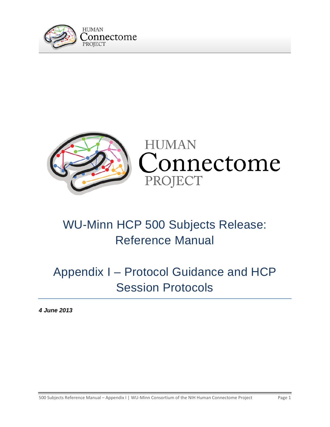



# WU-Minn HCP 500 Subjects Release: Reference Manual

# Appendix I – Protocol Guidance and HCP Session Protocols

*4 June 2013*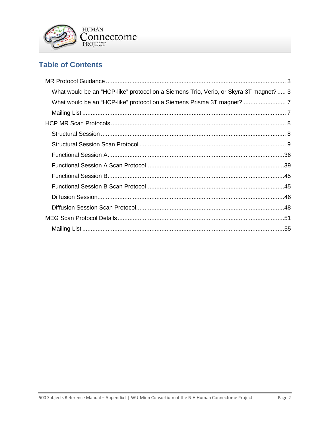

# **Table of Contents**

| What would be an "HCP-like" protocol on a Siemens Trio, Verio, or Skyra 3T magnet? 3 |  |
|--------------------------------------------------------------------------------------|--|
|                                                                                      |  |
|                                                                                      |  |
|                                                                                      |  |
|                                                                                      |  |
|                                                                                      |  |
|                                                                                      |  |
|                                                                                      |  |
|                                                                                      |  |
|                                                                                      |  |
|                                                                                      |  |
|                                                                                      |  |
|                                                                                      |  |
|                                                                                      |  |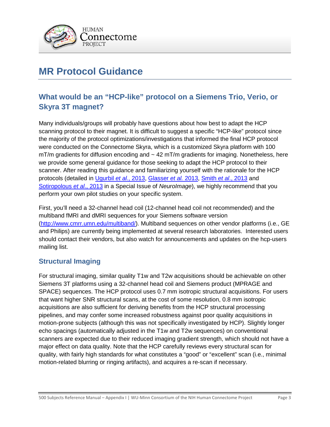

# <span id="page-2-0"></span>**MR Protocol Guidance**

# <span id="page-2-1"></span>**What would be an "HCP-like" protocol on a Siemens Trio, Verio, or Skyra 3T magnet?**

Many individuals/groups will probably have questions about how best to adapt the HCP scanning protocol to their magnet. It is difficult to suggest a specific "HCP-like" protocol since the majority of the protocol optimizations/investigations that informed the final HCP protocol were conducted on the Connectome Skyra, which is a customized Skyra platform with 100  $mT/m$  gradients for diffusion encoding and  $\sim 42$  mT/m gradients for imaging. Nonetheless, here we provide some general guidance for those seeking to adapt the HCP protocol to their scanner. After reading this guidance and familiarizing yourself with the rationale for the HCP protocols (detailed in [Ugurbil](http://www.sciencedirect.com/science/article/pii/S1053811913005065) *et al*., 2013, [Glasser](http://www.sciencedirect.com/science/article/pii/S1053811913005053) *et al.* 2013, [Smith](http://www.sciencedirect.com/science/article/pii/S1053811913005338) *et al*., 2013 and [Sotiropolous](http://www.sciencedirect.com/science/article/pii/S105381191300551X) *et al*., 2013 in a Special Issue of *NeuroImage*), we highly recommend that you perform your own pilot studies on your specific system.

First, you'll need a 32-channel head coil (12-channel head coil not recommended) and the multiband fMRI and dMRI sequences for your Siemens software version [\(http://www.cmrr.umn.edu/multiband/\)](http://www.cmrr.umn.edu/multiband/). Multiband sequences on other vendor platforms (i.e., GE and Philips) are currently being implemented at several research laboratories. Interested users should contact their vendors, but also watch for announcements and updates on the hcp-users mailing list.

### **Structural Imaging**

For structural imaging, similar quality T1w and T2w acquisitions should be achievable on other Siemens 3T platforms using a 32-channel head coil and Siemens product (MPRAGE and SPACE) sequences. The HCP protocol uses 0.7 mm isotropic structural acquisitions. For users that want higher SNR structural scans, at the cost of some resolution, 0.8 mm isotropic acquisitions are also sufficient for deriving benefits from the HCP structural processing pipelines, and may confer some increased robustness against poor quality acquisitions in motion-prone subjects (although this was not specifically investigated by HCP). Slightly longer echo spacings (automatically adjusted in the T1w and T2w sequences) on conventional scanners are expected due to their reduced imaging gradient strength, which should not have a major effect on data quality. Note that the HCP carefully reviews every structural scan for quality, with fairly high standards for what constitutes a "good" or "excellent" scan (i.e., minimal motion-related blurring or ringing artifacts), and acquires a re-scan if necessary.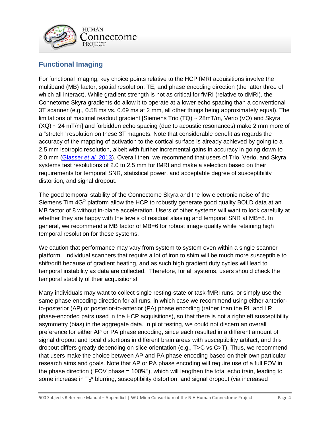

### **Functional Imaging**

For functional imaging, key choice points relative to the HCP fMRI acquisitions involve the multiband (MB) factor, spatial resolution, TE, and phase encoding direction (the latter three of which all interact). While gradient strength is not as critical for fMRI (relative to dMRI), the Connetome Skyra gradients do allow it to operate at a lower echo spacing than a conventional 3T scanner (e.g., 0.58 ms vs. 0.69 ms at 2 mm, all other things being approximately equal). The limitations of maximal readout gradient [Siemens Trio  $(TQ) \sim 28mT/m$ , Verio (VQ) and Skyra  $(XQ) \sim 24$  mT/m] and forbidden echo spacing (due to acoustic resonances) make 2 mm more of a "stretch" resolution on these 3T magnets. Note that considerable benefit as regards the accuracy of the mapping of activation to the cortical surface is already achieved by going to a 2.5 mm isotropic resolution, albeit with further incremental gains in accuracy in going down to 2.0 mm [\(Glasser](http://www.sciencedirect.com/science/article/pii/S1053811913005053) *et al.* 2013). Overall then, we recommend that users of Trio, Verio, and Skyra systems test resolutions of 2.0 to 2.5 mm for fMRI and make a selection based on their requirements for temporal SNR, statistical power, and acceptable degree of susceptibility distortion, and signal dropout.

The good temporal stability of the Connectome Skyra and the low electronic noise of the Siemens Tim 4G<sup>®</sup> platform allow the HCP to robustly generate good quality BOLD data at an MB factor of 8 without in-plane acceleration. Users of other systems will want to look carefully at whether they are happy with the levels of residual aliasing and temporal SNR at MB=8. In general, we recommend a MB factor of MB=6 for robust image quality while retaining high temporal resolution for these systems.

We caution that performance may vary from system to system even within a single scanner platform. Individual scanners that require a lot of iron to shim will be much more susceptible to shift/drift because of gradient heating, and as such high gradient duty cycles will lead to temporal instability as data are collected. Therefore, for all systems, users should check the temporal stability of their acquisitions!

Many individuals may want to collect single resting-state or task-fMRI runs, or simply use the same phase encoding direction for all runs, in which case we recommend using either anteriorto-posterior (AP) or posterior-to-anterior (PA) phase encoding (rather than the RL and LR phase-encoded pairs used in the HCP acquisitions), so that there is not a right/left susceptibility asymmetry (bias) in the aggregate data. In pilot testing, we could not discern an overall preference for either AP or PA phase encoding, since each resulted in a different amount of signal dropout and local distortions in different brain areas with susceptibility artifact, and this dropout differs greatly depending on slice orientation (e.g., T>C vs C>T). Thus, we recommend that users make the choice between AP and PA phase encoding based on their own particular research aims and goals. Note that AP or PA phase encoding will require use of a full FOV in the phase direction ("FOV phase = 100%"), which will lengthen the total echo train, leading to some increase in  $T_2^*$  blurring, susceptibility distortion, and signal dropout (via increased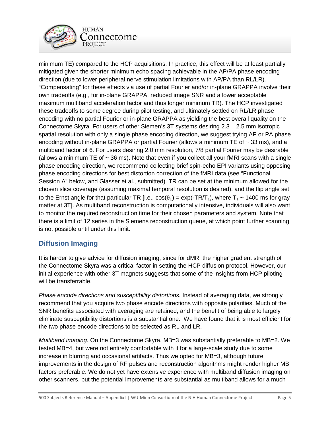

minimum TE) compared to the HCP acquisitions. In practice, this effect will be at least partially mitigated given the shorter minimum echo spacing achievable in the AP/PA phase encoding direction (due to lower peripheral nerve stimulation limitations with AP/PA than RL/LR). "Compensating" for these effects via use of partial Fourier and/or in-plane GRAPPA involve their own tradeoffs (e.g., for in-plane GRAPPA, reduced image SNR and a lower acceptable maximum multiband acceleration factor and thus longer minimum TR). The HCP investigated these tradeoffs to some degree during pilot testing, and ultimately settled on RL/LR phase encoding with no partial Fourier or in-plane GRAPPA as yielding the best overall quality on the Connectome Skyra. For users of other Siemen's 3T systems desiring 2.3 – 2.5 mm isotropic spatial resolution with only a single phase encoding direction, we suggest trying AP or PA phase encoding without in-plane GRAPPA or partial Fourier (allows a minimum TE of  $\sim$  33 ms), and a multiband factor of 6. For users desiring 2.0 mm resolution, 7/8 partial Fourier may be desirable (allows a minimum TE of  $\sim$  36 ms). Note that even if you collect all your fMRI scans with a single phase encoding direction, we recommend collecting brief spin-echo EPI variants using opposing phase encoding directions for best distortion correction of the fMRI data (see "Functional Session A" below, and Glasser et al., submitted). TR can be set at the minimum allowed for the chosen slice coverage (assuming maximal temporal resolution is desired), and the flip angle set to the Ernst angle for that particular TR [i.e.,  $cos(\theta_E) = exp(-TR/T_1)$ , where  $T_1 \sim 1400$  ms for gray matter at 3T]. As multiband reconstruction is computationally intensive, individuals will also want to monitor the required reconstruction time for their chosen parameters and system. Note that there is a limit of 12 series in the Siemens reconstruction queue, at which point further scanning is not possible until under this limit.

### **Diffusion Imaging**

It is harder to give advice for diffusion imaging, since for dMRI the higher gradient strength of the Connectome Skyra was a critical factor in setting the HCP diffusion protocol. However, our initial experience with other 3T magnets suggests that some of the insights from HCP piloting will be transferrable.

*Phase encode directions and susceptibility distortions.* Instead of averaging data, we strongly recommend that you acquire two phase encode directions with opposite polarities. Much of the SNR benefits associated with averaging are retained, and the benefit of being able to largely eliminate susceptibility distortions is a substantial one. We have found that it is most efficient for the two phase encode directions to be selected as RL and LR.

*Multiband imaging.* On the Connectome Skyra, MB=3 was substantially preferable to MB=2. We tested MB=4, but were not entirely comfortable with it for a large-scale study due to some increase in blurring and occasional artifacts. Thus we opted for MB=3, although future improvements in the design of RF pulses and reconstruction algorithms might render higher MB factors preferable. We do not yet have extensive experience with multiband diffusion imaging on other scanners, but the potential improvements are substantial as multiband allows for a much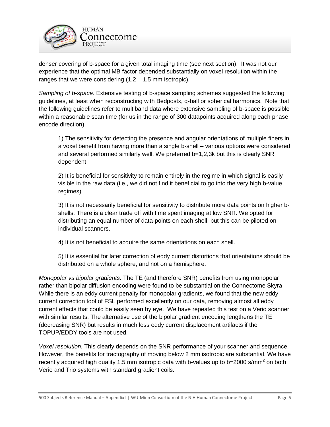

denser covering of b-space for a given total imaging time (see next section). It was not our experience that the optimal MB factor depended substantially on voxel resolution within the ranges that we were considering  $(1.2 - 1.5 \text{ mm}$  isotropic).

*Sampling of b-space.* Extensive testing of b-space sampling schemes suggested the following guidelines, at least when reconstructing with Bedpostx, q-ball or spherical harmonics. Note that the following guidelines refer to multiband data where extensive sampling of b-space is possible within a reasonable scan time (for us in the range of 300 datapoints acquired along each phase encode direction).

1) The sensitivity for detecting the presence and angular orientations of multiple fibers in a voxel benefit from having more than a single b-shell – various options were considered and several performed similarly well. We preferred b=1,2,3k but this is clearly SNR dependent.

2) It is beneficial for sensitivity to remain entirely in the regime in which signal is easily visible in the raw data (i.e., we did not find it beneficial to go into the very high b-value regimes)

3) It is not necessarily beneficial for sensitivity to distribute more data points on higher bshells. There is a clear trade off with time spent imaging at low SNR. We opted for distributing an equal number of data-points on each shell, but this can be piloted on individual scanners.

4) It is not beneficial to acquire the same orientations on each shell.

5) It is essential for later correction of eddy current distortions that orientations should be distributed on a whole sphere, and not on a hemisphere.

*Monopolar vs bipolar gradients.* The TE (and therefore SNR) benefits from using monopolar rather than bipolar diffusion encoding were found to be substantial on the Connectome Skyra. While there is an eddy current penalty for monopolar gradients, we found that the new eddy current correction tool of FSL performed excellently on our data, removing almost all eddy current effects that could be easily seen by eye. We have repeated this test on a Verio scanner with similar results. The alternative use of the bipolar gradient encoding lengthens the TE (decreasing SNR) but results in much less eddy current displacement artifacts if the TOPUP/EDDY tools are not used.

*Voxel resolution.* This clearly depends on the SNR performance of your scanner and sequence. However, the benefits for tractography of moving below 2 mm isotropic are substantial. We have recently acquired high quality 1.5 mm isotropic data with b-values up to  $b=2000$  s/mm<sup>2</sup> on both Verio and Trio systems with standard gradient coils.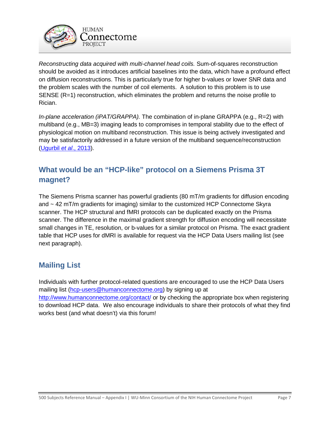

*Reconstructing data acquired with multi-channel head coils.* Sum-of-squares reconstruction should be avoided as it introduces artificial baselines into the data, which have a profound effect on diffusion reconstructions. This is particularly true for higher b-values or lower SNR data and the problem scales with the number of coil elements. A solution to this problem is to use SENSE (R=1) reconstruction, which eliminates the problem and returns the noise profile to Rician.

*In-plane acceleration (iPAT/GRAPPA).* The combination of in-plane GRAPPA (e.g., R=2) with multiband (e.g., MB=3) imaging leads to compromises in temporal stability due to the effect of physiological motion on multiband reconstruction. This issue is being actively investigated and may be satisfactorily addressed in a future version of the multiband sequence/reconstruction [\(Ugurbil](http://www.sciencedirect.com/science/article/pii/S1053811913005065) *et al*., 2013).

# <span id="page-6-0"></span>**What would be an "HCP-like" protocol on a Siemens Prisma 3T magnet?**

The Siemens Prisma scanner has powerful gradients (80 mT/m gradients for diffusion encoding and ~ 42 mT/m gradients for imaging) similar to the customized HCP Connectome Skyra scanner. The HCP structural and fMRI protocols can be duplicated exactly on the Prisma scanner. The difference in the maximal gradient strength for diffusion encoding will necessitate small changes in TE, resolution, or b-values for a similar protocol on Prisma. The exact gradient table that HCP uses for dMRI is available for request via the HCP Data Users mailing list (see next paragraph).

# <span id="page-6-1"></span>**Mailing List**

Individuals with further protocol-related questions are encouraged to use the HCP Data Users mailing list [\(hcp-users@humanconnectome.org\)](mailto:hcp-users@humanconnectome.org) by signing up at <http://www.humanconnectome.org/contact/> or by checking the appropriate box when registering to download HCP data. We also encourage individuals to share their protocols of what they find works best (and what doesn't) via this forum!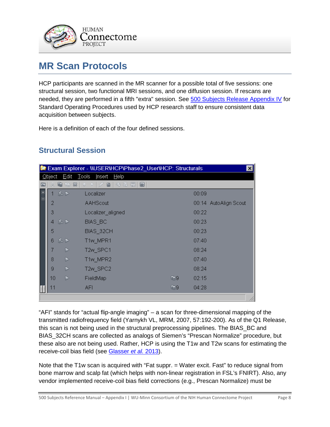

# <span id="page-7-0"></span>**MR Scan Protocols**

HCP participants are scanned in the MR scanner for a possible total of five sessions: one structural session, two functional MRI sessions, and one diffusion session. If rescans are needed, they are performed in a fifth "extra" session. See 500 Subjects Release Appendix IV for Standard Operating Procedures used by HCP research staff to ensure consistent data acquisition between subjects.

Here is a definition of each of the four defined sessions.

# <span id="page-7-1"></span>**Structural Session**

| Exam Explorer - WUSERVHCPVPhase2_UserVHCP: Structurals<br>⊠<br><b>START</b> |                                           |       |                                  |             |                       |
|-----------------------------------------------------------------------------|-------------------------------------------|-------|----------------------------------|-------------|-----------------------|
|                                                                             | Tools Insert Help<br>$E$ dit<br>$Q$ bject |       |                                  |             |                       |
| 匸                                                                           |                                           | 电 唯 然 | 多耳目<br>$\frac{1}{2}$<br>₿<br>€   | 6           |                       |
| 甲目                                                                          | 1 忍 D                                     |       | Localizer                        | 00:09       |                       |
|                                                                             | 2                                         |       | <b>AAHScout</b>                  |             | 00:14 AutoAlign Scout |
|                                                                             | 3                                         |       | Localizer_aligned                | 00:22       |                       |
|                                                                             | 4                                         | 不     | BIAS_BC                          | 00:23       |                       |
|                                                                             | 5                                         |       | BIAS_32CH                        | 00:23       |                       |
|                                                                             | 6                                         | 孤り    | T1w_MPR1                         | 07:40       |                       |
|                                                                             | 7                                         | D     | T <sub>2w</sub> SPC <sub>1</sub> | 08:24       |                       |
|                                                                             | 8                                         | D     | T1w_MPR2                         | 07:40       |                       |
|                                                                             | 9                                         | Þ     | T2w SPC2                         | 08:24       |                       |
|                                                                             | 10                                        | D     | FieldMap                         | 电9<br>02:15 |                       |
|                                                                             | 11                                        |       | <b>AFI</b>                       | 自9<br>04:28 |                       |
|                                                                             |                                           |       |                                  |             |                       |

"AFI" stands for "actual flip-angle imaging" – a scan for three-dimensional mapping of the transmitted radiofrequency field (Yarnykh VL, MRM, 2007, 57:192-200). As of the Q1 Release, this scan is not being used in the structural preprocessing pipelines. The BIAS\_BC and BIAS\_32CH scans are collected as analogs of Siemen's "Prescan Normalize" procedure, but these also are not being used. Rather, HCP is using the T1w and T2w scans for estimating the receive-coil bias field (see [Glasser](http://www.sciencedirect.com/science/article/pii/S1053811913005053) *et al.* 2013).

Note that the T1w scan is acquired with "Fat suppr. = Water excit. Fast" to reduce signal from bone marrow and scalp fat (which helps with non-linear registration in FSL's FNIRT). Also, any vendor implemented receive-coil bias field corrections (e.g., Prescan Normalize) must be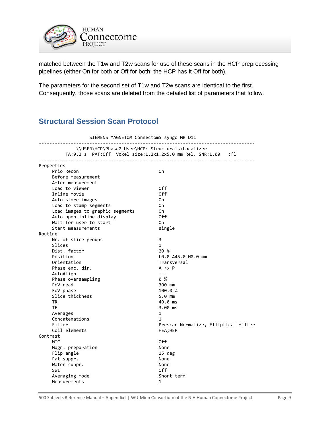

matched between the T1w and T2w scans for use of these scans in the HCP preprocessing pipelines (either On for both or Off for both; the HCP has it Off for both).

The parameters for the second set of T1w and T2w scans are identical to the first. Consequently, those scans are deleted from the detailed list of parameters that follow.

## <span id="page-8-0"></span>**Structural Session Scan Protocol**

| SIEMENS MAGNETOM ConnectomS syngo MR D11 |                                                                                                                   |                                      |  |  |
|------------------------------------------|-------------------------------------------------------------------------------------------------------------------|--------------------------------------|--|--|
|                                          | \\USER\HCP\Phase2_User\HCP: Structurals\Localizer<br>TA:9.2 s PAT:Off Voxel size:1.2x1.2x5.0 mm Rel. SNR:1.00 :fl |                                      |  |  |
|                                          | Properties                                                                                                        |                                      |  |  |
|                                          | Prio Recon                                                                                                        | 0n                                   |  |  |
|                                          | Before measurement                                                                                                |                                      |  |  |
|                                          | After measurement                                                                                                 |                                      |  |  |
|                                          | Load to viewer                                                                                                    | 0ff                                  |  |  |
|                                          | Inline movie                                                                                                      | 0ff                                  |  |  |
|                                          | Auto store images                                                                                                 | 0n                                   |  |  |
|                                          | Load to stamp segments                                                                                            | 0n                                   |  |  |
|                                          | Load images to graphic segments                                                                                   | 0n                                   |  |  |
|                                          | Auto open inline display                                                                                          | 0ff                                  |  |  |
|                                          | Wait for user to start                                                                                            | 0n                                   |  |  |
|                                          | Start measurements                                                                                                | single                               |  |  |
| Routine                                  |                                                                                                                   |                                      |  |  |
|                                          | Nr. of slice groups                                                                                               | 3                                    |  |  |
|                                          | Slices                                                                                                            | 1                                    |  |  |
|                                          | Dist. factor                                                                                                      | 20 %                                 |  |  |
|                                          | Position                                                                                                          | L0.0 A45.0 H0.0 mm                   |  |  |
|                                          | Orientation                                                                                                       | Transversal                          |  |  |
|                                          | Phase enc. dir.                                                                                                   | $A \rightarrow P$                    |  |  |
|                                          | AutoAlign                                                                                                         | $- - -$                              |  |  |
|                                          | Phase oversampling                                                                                                | 0 %                                  |  |  |
|                                          | FoV read                                                                                                          | 300 mm                               |  |  |
|                                          | FoV phase                                                                                                         | 100.0%                               |  |  |
|                                          | Slice thickness                                                                                                   | $5.0$ mm                             |  |  |
|                                          | <b>TR</b>                                                                                                         | 40.0 ms                              |  |  |
|                                          | <b>TE</b>                                                                                                         | 3.00 ms                              |  |  |
|                                          | Averages                                                                                                          | 1                                    |  |  |
|                                          | Concatenations                                                                                                    | 1                                    |  |  |
|                                          | Filter                                                                                                            | Prescan Normalize, Elliptical filter |  |  |
|                                          | Coil elements                                                                                                     | HEA; HEP                             |  |  |
| Contrast                                 |                                                                                                                   |                                      |  |  |
|                                          | <b>MTC</b>                                                                                                        | 0ff                                  |  |  |
|                                          | Magn. preparation                                                                                                 | None                                 |  |  |
|                                          | Flip angle                                                                                                        | 15 deg                               |  |  |
|                                          | Fat suppr.                                                                                                        | None                                 |  |  |
|                                          | Water suppr.                                                                                                      | None                                 |  |  |
|                                          | SWI                                                                                                               | 0ff                                  |  |  |
|                                          | Averaging mode                                                                                                    | Short term                           |  |  |
|                                          | Measurements                                                                                                      | 1                                    |  |  |
|                                          |                                                                                                                   |                                      |  |  |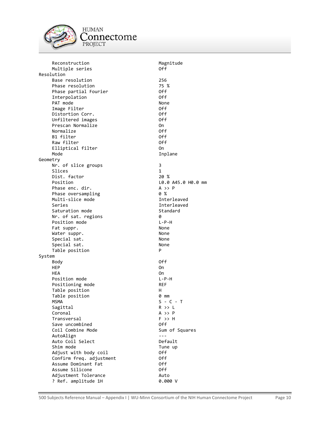

**HUMAN**  $\underset{\text{PROJECT}}{\text{Connectome}}$ 

| Reconstruction           | Magnitude          |
|--------------------------|--------------------|
| Multiple series          | 0ff                |
| Resolution               |                    |
| Base resolution          | 256                |
| Phase resolution         | 75 %               |
| Phase partial Fourier    | 0ff                |
| Interpolation            | 0ff                |
| PAT mode                 | None               |
| Image Filter             | 0ff                |
| Distortion Corr.         | 0ff                |
| Unfiltered images        | 0ff                |
| Prescan Normalize        | 0n                 |
| Normalize                | 0ff                |
| B1 filter                |                    |
|                          | 0ff                |
| Raw filter               | 0ff                |
| Elliptical filter        | 0n                 |
| Mode                     | Inplane            |
| Geometry                 |                    |
| Nr. of slice groups      | 3                  |
| Slices                   | $\mathbf{1}$       |
| Dist. factor             | 20 %               |
| Position                 | L0.0 A45.0 H0.0 mm |
| Phase enc. dir.          | $A \rightarrow P$  |
| Phase oversampling       | 0 %                |
| Multi-slice mode         | Interleaved        |
| Series                   | Interleaved        |
| Saturation mode          | Standard           |
| Nr. of sat. regions      | 0                  |
| Position mode            | $L - P - H$        |
| Fat suppr.               | None               |
|                          | None               |
| Water suppr.             |                    |
| Special sat.             | None               |
| Special sat.             | None               |
| Table position           | P                  |
| System                   |                    |
| Body                     | 0ff                |
| <b>HEP</b>               | 0n                 |
| HEA                      | 0n                 |
| Position mode            | L-P-H              |
| Positioning mode         | <b>REF</b>         |
| Table position           | н                  |
| Table position           | 0 mm               |
| MSMA                     | S - C - T          |
| Sagittal                 | R >> L             |
| Coronal                  | $A \rightarrow P$  |
| Transversal              | $F \gg H$          |
| Save uncombined          | 0ff.               |
| Coil Combine Mode        | Sum of Squares     |
| AutoAlign                | $- - -$            |
| Auto Coil Select         | Default            |
| Shim mode                | Tune up            |
|                          | 0ff                |
| Adjust with body coil    |                    |
| Confirm freq. adjustment | 0ff                |
| Assume Dominant Fat      | 0ff                |
| Assume Silicone          | 0ff                |
| Adjustment Tolerance     | Auto               |
| ? Ref. amplitude 1H      | 0.000V             |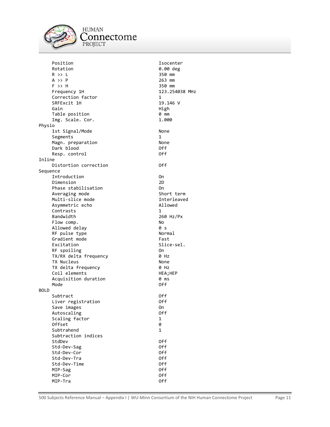

### **HUMAN** Connectome PROJECT

Position **Isocenter** Rotation **0.00** deg R >> L<br>A >> P 350 mm<br>263 mm A >> P 263 mm<br>F >> H 250 mm F >> H<br>Frequency 1H 350 mm<br>123.254038 MHz Frequency 1H Correction factor 1<br>
SRFExcit 1H 19.146 V SRFExcit 1H 19.14<br>Gain 19.14 Views 19.14 Gain **High American Strutter** (Gain Table position 0 mm Img. Scale. Cor. 1.000 Physio 1st Signal/Mode None Segments 1 Magn. preparation in the Mone<br>Dark blood in the North Control of the Off Dark blood Off Resp. control Inline Distortion correction **Off** Sequence Introduction On Dimension 2D Phase stabilisation on On Averaging mode Short term Multi-slice mode and a series of the Interleaved Asymmetric echo Allowed Contrasts<br>Bandwidth Flow comp. No Allowed delay RF pulse type Normal Gradient mode Fast Excitation Slice-sel. RF spoiling 000 TX/RX delta frequency 0 Hz TX Nucleus None TX delta frequency 0 Hz Coil elements HEA; HEP Acquisition duration **0 ms** Mode **Off** BOLD Subtract Off Liver registration off Save images and the control of the Save On and the Save Off and the Control of the Off and the Off a<br>Save Off and the Off and the Off and the Off and the Off and the Off and the Off and the Off and the Off and t Autoscaling Scaling factor 1 Offset 0 Subtrahend 1 Subtraction indices StdDev Off Std-Dev-Sag Off Std-Dev-Cor Std-Dev-Tra 0ff Std-Dev-Time Off MIP-Sag Off MIP-Cor Off MIP-Tra Off

260 Hz/Px<br>No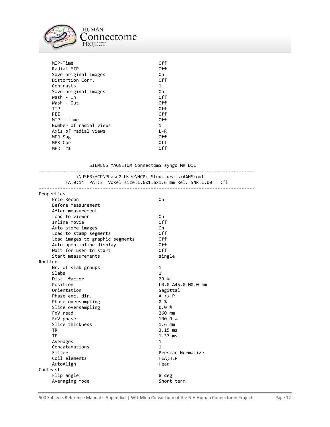

| MIP-Time               | 0ff     |
|------------------------|---------|
| Radial MIP             | 0ff     |
| Save original images   | 0n      |
| Distortion Corr.       | 0ff     |
| Contrasts              | 1       |
| Save original images   | 0n      |
| Wash - In              | 0ff     |
| Wash - Out             | 0ff     |
| <b>TTP</b>             | 0ff     |
| PFT.                   | 0ff     |
| MIP - time             | 0ff     |
| Number of radial views | 1       |
| Axis of radial views   | $L - R$ |
| MPR Sag                | 0ff     |
| MPR Cor                | 0ff     |
| MPR Tra                | 0ff     |

### SIEMENS MAGNETOM ConnectomS syngo MR D11

|                                         | \\USER\HCP\Phase2 User\HCP: Structurals\AAHScout<br>TA:0:14 PAT:3 Voxel size:1.6x1.6x1.6 mm Rel. SNR:1.00 | $\cdot$ : f1 |
|-----------------------------------------|-----------------------------------------------------------------------------------------------------------|--------------|
| Properties<br>Prio Recon                | 0n                                                                                                        |              |
| Before measurement<br>After measurement |                                                                                                           |              |
| Load to viewer                          | 0n                                                                                                        |              |
| Inline movie                            | 0ff                                                                                                       |              |
| Auto store images                       | 0n                                                                                                        |              |

|          | AUTO STOPE IMAGES               | on.                |
|----------|---------------------------------|--------------------|
|          | Load to stamp segments          | 0ff                |
|          | Load images to graphic segments | 0ff                |
|          | Auto open inline display        | 0ff                |
|          | Wait for user to start          | 0ff                |
|          | Start measurements              | single             |
| Routine  |                                 |                    |
|          | Nr. of slab groups              | 1                  |
|          | Slabs                           | $\mathbf{1}$       |
|          | Dist. factor                    | 20 %               |
|          | Position                        | L0.0 A45.0 H0.0 mm |
|          | Orientation                     | Sagittal           |
|          | Phase enc. dir.                 | $A \rightarrow P$  |
|          | Phase oversampling              | 0%                 |
|          | Slice oversampling              | 0.0%               |
|          | FoV read                        | 260 mm             |
|          | FoV phase                       | 100.0%             |
|          | Slice thickness                 | $1.6$ mm           |
|          | <b>TR</b>                       | $3.15$ ms          |
|          | <b>TE</b>                       | $1.37$ ms          |
|          | Averages                        | 1                  |
|          | Concatenations                  | 1                  |
|          | Filter                          | Prescan Normalize  |
|          | Coil elements                   | HEA;HEP            |
|          | AutoAlign                       | Head               |
| Contrast |                                 |                    |
|          | Flip angle                      | 8 deg              |
|          | Averaging mode                  | Short term         |
|          |                                 |                    |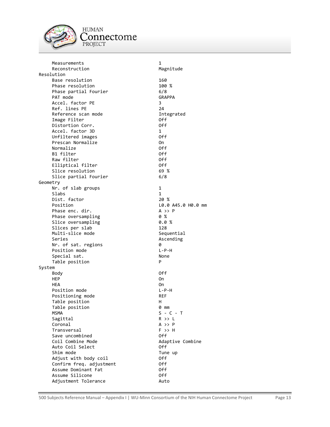

**HUMAN** Connectome PROJECT

 Measurements 1 Reconstruction Magnitude Resolution Base resolution 160<br>Phase resolution 100 % Phase resolution 100<br>Phase partial Fourier 100 6/8 Phase partial Fourier 1988 (1988)<br>PAT mode 1988 (GRAPPA PAT mode Accel. factor PE 3 Ref. lines PE Reference scan mode **Integrated**  Image Filter Off Distortion Corr. Accel. factor 3D 1 Unfiltered images Prescan Normalize On Normalize Off B1 filter Off Raw filter Elliptical filter off Slice resolution 69 % Slice partial Fourier 6/8 Geometry Nr. of slab groups 1 Slabs 1 Dist. factor 20 % Position <br>
Phase enc. dir. 
20.0 A45.0 H0.0 mm Phase enc. dir.<br>Phase oversampling encodence of  $\frac{2}{3}$ Phase oversampling the control of  $\%$ <br>
Phase oversampling the control of  $\%$ Slice oversampling the control of the Slices per slab<br>Slices per slab the control of the 128 Slices per slab 128<br>128 multi-slice mode 120 multi-slice mode Multi-slice mode Series **Ascending** Nr. of sat. regions 0 Position mode  $L-P-H$ Special sat. None Table position **P** System Body Off HEP On One of the state of the state of the state of the state of the state of the state of the state of the state of the state of the state of the state of the state of the state of the state of the state of the state of HEA On Position mode L-P-H Positioning mode REF Table position http://www.fable.org/ Table position 0 mm  $MSMA$   $S - C - T$ Sagittal R >> L Coronal A >> P Transversal F >> H Save uncombined<br>Coil Combine Mode Adaptive Combine<br>Off Auto Coil Select Shim mode Tune up Adjust with body coil **Example 2018** Off Confirm freq. adjustment 0ff Assume Dominant Fat **Off** Assume Silicone **Off** Adjustment Tolerance **Auto** Auto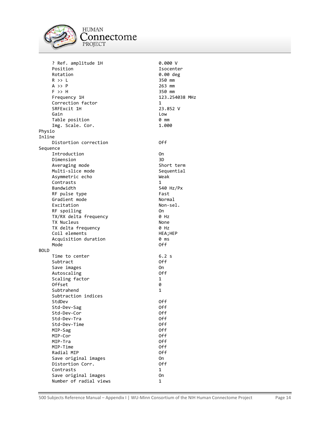

**HUMAN** connectome PROJECT

0.00 deg<br>350 mm

123.254038 MHz

? Ref. amplitude 1H 0.000 V Position 150 and 150 and 150 and 150 and 150 and 150 and 150 and 150 and 150 and 150 and 150 and 150 and 150 a<br>Position 150 and 150 and 150 and 150 and 150 and 150 and 150 and 150 and 150 and 150 and 150 and 150 and 150 a  $R \gg L$  350 mm A >> P 263 mm<br>F >> H 350 mm F >> H<br>Frequency 1H Correction factor 1<br>
SRFExcit 1H 1886 23.852 V SRFExcit 1H Gain **Low** Table position 0 mm Img. Scale. Cor. 1.000 Physio Inline Distortion correction **CONFICE CONFIDENT** Off Sequence Introduction On Dimension Averaging mode Short term Multi-slice mode Sequential Asymmetric echo Weak Contrasts 1 Bandwidth 540 Hz/Px RF pulse type Fast Gradient mode Normal Excitation Non-sel.<br>RF spoiling Non-sel. RF spoiling<br>TX/RX delta frequency and the Only Only TX/RX delta frequency 0 Hz TX Nucleus<br>TX delta frequency None (1998) 9 Hz TX delta frequency Coil elements HEA;HEP Acquisition duration **0 ms** Mode **Off** BOLD Time to center 6.2 s Subtract 0ff Save images on the contract of the contract of the contract of the contract of the contract of the contract of the contract of the contract of the contract of the contract of the contract of the contract of the contract of Autoscaling **Off** Scaling factor 1 Offset 0 Subtrahend 1 Subtraction indices StdDev Off Std-Dev-Sag Off Std-Dev-Cor Off Std-Dev-Tra 0ff Std-Dev-Time Off MIP-Sag 0ff the contract of the contract of the contract of the contract of the contract of the contract of the<br>MIP-Contract of the contract of the contract of the contract of the contract of the contract of the contract o MIP-Cor Off MIP-Tra Off MIP-Time Off<br>Radial MIP Contract of the Off Radial MIP Save original images on Distortion Corr. 69 06 06 06 06 17 Contrasts 1 Save original images on Number of radial views 1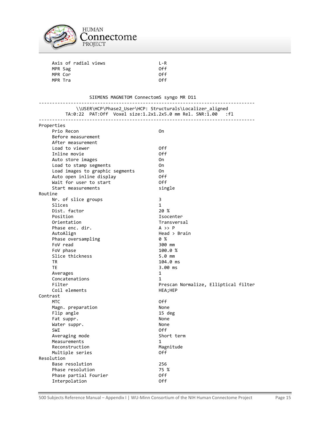

| Axis of radial views | 1 - R |
|----------------------|-------|
| MPR Sag              | 0ff   |
| MPR Cor              | 0ff   |
| MPR Tra              | 0ff   |

| SIEMENS MAGNETOM ConnectomS syngo MR D11<br>--------------<br>---------------------<br>\\USER\HCP\Phase2_User\HCP: Structurals\Localizer_aligned<br>TA:0:22 PAT:Off Voxel size:1.2x1.2x5.0 mm Rel. SNR:1.00 :fl |                                      |  |
|-----------------------------------------------------------------------------------------------------------------------------------------------------------------------------------------------------------------|--------------------------------------|--|
|                                                                                                                                                                                                                 |                                      |  |
| Prio Recon                                                                                                                                                                                                      | 0n                                   |  |
| Before measurement                                                                                                                                                                                              |                                      |  |
| After measurement                                                                                                                                                                                               |                                      |  |
| Load to viewer                                                                                                                                                                                                  | 0ff                                  |  |
| Inline movie                                                                                                                                                                                                    | 0ff                                  |  |
| Auto store images                                                                                                                                                                                               | 0n                                   |  |
| Load to stamp segments                                                                                                                                                                                          | 0n                                   |  |
| Load images to graphic segments                                                                                                                                                                                 | 0n                                   |  |
| Auto open inline display                                                                                                                                                                                        | 0ff                                  |  |
| Wait for user to start                                                                                                                                                                                          | 0ff                                  |  |
| Start measurements                                                                                                                                                                                              | single                               |  |
| Routine                                                                                                                                                                                                         |                                      |  |
| Nr. of slice groups                                                                                                                                                                                             | 3                                    |  |
| Slices                                                                                                                                                                                                          | $\mathbf{1}$                         |  |
| Dist. factor                                                                                                                                                                                                    | 20 %                                 |  |
| Position                                                                                                                                                                                                        | Isocenter                            |  |
| Orientation                                                                                                                                                                                                     | Transversal                          |  |
| Phase enc. dir.                                                                                                                                                                                                 | $A \rightarrow P$                    |  |
| AutoAlign                                                                                                                                                                                                       | Head > Brain                         |  |
| Phase oversampling                                                                                                                                                                                              | 0 %                                  |  |
| FoV read                                                                                                                                                                                                        | 300 mm                               |  |
| FoV phase                                                                                                                                                                                                       | 100.0%                               |  |
| Slice thickness                                                                                                                                                                                                 | 5.0 mm                               |  |
| TR                                                                                                                                                                                                              | 104.0 ms                             |  |
| <b>TE</b>                                                                                                                                                                                                       | 3.00 ms                              |  |
| Averages                                                                                                                                                                                                        | 1                                    |  |
| Concatenations                                                                                                                                                                                                  | 1                                    |  |
| Filter                                                                                                                                                                                                          | Prescan Normalize, Elliptical filter |  |
| Coil elements                                                                                                                                                                                                   | HEA; HEP                             |  |
| Contrast<br><b>MTC</b>                                                                                                                                                                                          | 0ff                                  |  |
|                                                                                                                                                                                                                 | None                                 |  |
| Magn. preparation<br>Flip angle                                                                                                                                                                                 | 15 deg                               |  |
| Fat suppr.                                                                                                                                                                                                      | None                                 |  |
| Water suppr.                                                                                                                                                                                                    | None                                 |  |
| <b>SWI</b>                                                                                                                                                                                                      | 0ff                                  |  |
| Averaging mode                                                                                                                                                                                                  | Short term                           |  |
| Measurements                                                                                                                                                                                                    | 1                                    |  |
| Reconstruction                                                                                                                                                                                                  | Magnitude                            |  |
| Multiple series                                                                                                                                                                                                 | 0ff                                  |  |
| Resolution                                                                                                                                                                                                      |                                      |  |
| Base resolution                                                                                                                                                                                                 | 256                                  |  |
| Phase resolution                                                                                                                                                                                                | 75 %                                 |  |
| Phase partial Fourier                                                                                                                                                                                           | 0ff                                  |  |
| Interpolation                                                                                                                                                                                                   | 0ff                                  |  |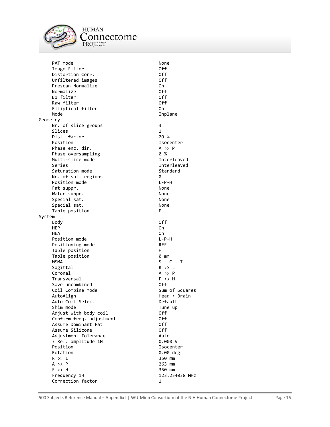

**HUMAN** `onnectome PROJECT

PAT mode<br>
Image Filter<br>
Off Image Filter Off Distortion Corr. Off Unfiltered images Prescan Normalize On Normalize 0ff<br>B1 filter 0ff 0ff B1 filter Off Raw filter Elliptical filter 00 Mode The Inplane Geometry Nr. of slice groups 3 Slices 1<br>Dist. factor 1 1 20 % Dist. factor<br>Position Phase enc. dir.<br>Phase oversampling and the control of % P Phase oversampling  $\begin{array}{ccc} 0 & \times & 0 \\ \text{Multi-slice mode} & \text{matrix} & \text{interleaved} \end{array}$ Multi-slice mode Series **Interleaved** Saturation mode Standard Nr. of sat. regions 0 Position mode  $L-P-H$ Fat suppr. None Water suppr. None Special sat. None Special sat. None<br>Table position and the property of the property of the property of the property of the property of the proper<br>Property of the property of the property of the property of the property of the property of th Table position System Body Off HEP On One of the state of the state of the state of the state of the state of the state of the state of the state of the state of the state of the state of the state of the state of the state of the state of the state of HEA On Position mode L-P-H Positioning mode REF Table position and H Table position 0 mm  $MSMA$   $S - C - T$ Sagittal R >> L Coronal A >> P Transversal F >> H Save uncombined off Coil Combine Mode Sum of Squares AutoAlign **Head** > Brain Auto Coil Select **Default** Shim mode Tune up Adjust with body coil **Off** Confirm freq. adjustment Off Assume Dominant Fat Off Assume Silicone Adjustment Tolerance Auto ? Ref. amplitude 1H<br>Position Position 150 and 150 and 150 and 150 and 150 and 150 and 150 and 150 and 150 and 150 and 150 and 150 and 150 a<br>Position 150 and 150 and 150 and 150 and 150 and 150 and 150 and 150 and 150 and 150 and 150 and 150 and 150 a  $R$  >> L 350 mm  $A \rightarrow P$  263 mm F >> H 350 mm Frequency 1H 123.254038 MHz Correction factor 1

Isocenter 0.00 deg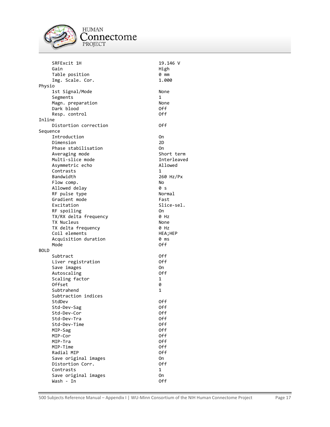

**HUMAN**  $\underset{\text{PROJECT}}{\text{Connectome}}$ 

|             | SRFExcit 1H                       | 19.146 V     |
|-------------|-----------------------------------|--------------|
|             | Gain                              | High         |
|             | Table position                    | 0 mm         |
|             | Img. Scale. Cor.                  | 1.000        |
| Physio      |                                   |              |
|             | 1st Signal/Mode                   | None         |
|             | Segments                          | 1            |
|             | Magn. preparation                 | None         |
|             | Dark blood                        | 0ff          |
|             | Resp. control                     | 0ff          |
| Inline      |                                   |              |
|             | Distortion correction             | 0ff          |
|             |                                   |              |
| Sequence    |                                   |              |
|             | Introduction                      | 0n           |
|             | Dimension                         | 2D           |
|             | Phase stabilisation               | 0n           |
|             | Averaging mode                    | Short term   |
|             | Multi-slice mode                  | Interleaved  |
|             | Asymmetric echo                   | Allowed      |
|             | Contrasts                         | 1            |
|             | Bandwidth                         | 260 Hz/Px    |
|             | Flow comp.                        | No           |
|             | Allowed delay                     | 0 s          |
|             | RF pulse type                     | Normal       |
|             | Gradient mode                     | Fast         |
|             | Excitation                        | Slice-sel.   |
|             | RF spoiling                       | 0n           |
|             | TX/RX delta frequency             | 0 Hz         |
|             | TX Nucleus                        | None         |
|             |                                   | 0 Hz         |
|             | TX delta frequency                |              |
|             | Coil elements                     | HEA;HEP      |
|             | Acquisition duration              | 0 ms         |
|             | Mode                              | 0ff          |
| <b>BOLD</b> |                                   |              |
|             |                                   |              |
|             | Subtract                          | 0ff          |
|             | Liver registration                | 0ff          |
|             | Save images                       | 0n           |
|             | Autoscaling                       | 0ff          |
|             | Scaling factor                    | 1            |
|             | 0ffset                            | 0            |
|             | Subtrahend                        | 1            |
|             | Subtraction indices               |              |
|             | StdDev                            | 0ff          |
|             |                                   | 0ff          |
|             | Std-Dev-Sag<br>Std-Dev-Cor        | 0ff          |
|             | Std-Dev-Tra                       | 0ff          |
|             |                                   |              |
|             | Std-Dev-Time                      | 0ff          |
|             | MIP-Sag                           | 0ff          |
|             | MIP-Cor                           | 0ff          |
|             | MIP-Tra                           | 0ff          |
|             | MIP-Time                          | 0ff          |
|             | Radial MIP                        | 0ff          |
|             | Save original images              | 0n           |
|             | Distortion Corr.                  | 0ff          |
|             | Contrasts                         | $\mathbf{1}$ |
|             | Save original images<br>Wash - In | 0n<br>0ff    |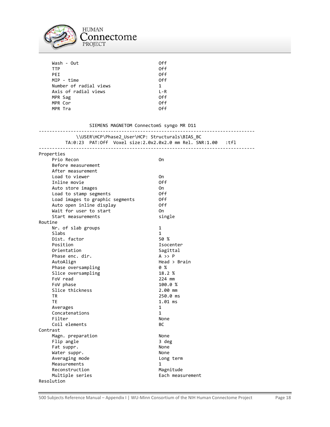

| Wash - Out             | 0ff     |
|------------------------|---------|
| <b>TTP</b>             | 0ff     |
| <b>PFT</b>             | 0ff     |
| MIP - time             | 0ff     |
| Number of radial views | 1       |
| Axis of radial views   | $L - R$ |
| MPR Sag                | 0ff     |
| MPR Cor                | 0ff     |
| MPR Tra                | nff     |
|                        |         |

| SIEMENS MAGNETOM ConnectomS syngo MR D11                                                                                                                    |                   |
|-------------------------------------------------------------------------------------------------------------------------------------------------------------|-------------------|
| <u>-------------------------------</u> -<br>\\USER\HCP\Phase2_User\HCP: Structurals\BIAS_BC<br>TA:0:23 PAT:Off Voxel size:2.0x2.0x2.0 mm Rel. SNR:1.00 :tfl |                   |
|                                                                                                                                                             |                   |
| Properties                                                                                                                                                  |                   |
| Prio Recon                                                                                                                                                  | 0n                |
| Before measurement                                                                                                                                          |                   |
| After measurement                                                                                                                                           |                   |
| Load to viewer                                                                                                                                              | 0n                |
| Inline movie                                                                                                                                                | 0ff               |
| Auto store images                                                                                                                                           | 0n                |
| Load to stamp segments                                                                                                                                      | 0ff               |
| Load images to graphic segments                                                                                                                             | 0ff               |
| Auto open inline display                                                                                                                                    | 0ff               |
| Wait for user to start                                                                                                                                      | 0n                |
| Start measurements                                                                                                                                          | single            |
| Routine                                                                                                                                                     |                   |
| Nr. of slab groups                                                                                                                                          | 1                 |
| Slabs                                                                                                                                                       | $\mathbf{1}$      |
| Dist. factor                                                                                                                                                | 50 %              |
| Position                                                                                                                                                    | Isocenter         |
| Orientation                                                                                                                                                 | Sagittal          |
| Phase enc. dir.                                                                                                                                             | $A \rightarrow P$ |
| AutoAlign                                                                                                                                                   | Head > Brain      |
| Phase oversampling                                                                                                                                          | 0%                |
| Slice oversampling                                                                                                                                          | 18.2 %            |
| FoV read                                                                                                                                                    | 224 mm            |
| FoV phase                                                                                                                                                   | 100.0 %           |
| Slice thickness                                                                                                                                             | 2.00 mm           |
| TR                                                                                                                                                          | 250.0 ms          |
| TE                                                                                                                                                          | $1.01$ ms         |
| Averages                                                                                                                                                    | $\mathbf{1}$      |
| Concatenations                                                                                                                                              | $\mathbf{1}$      |
| Filter                                                                                                                                                      | None              |
| Coil elements                                                                                                                                               | ВC                |
| Contrast                                                                                                                                                    |                   |
| Magn. preparation                                                                                                                                           | None              |
| Flip angle                                                                                                                                                  | 3 deg             |
| Fat suppr.                                                                                                                                                  | None              |
| Water suppr.                                                                                                                                                | None              |
| Averaging mode                                                                                                                                              | Long term         |
| Measurements                                                                                                                                                | 1                 |
| Reconstruction                                                                                                                                              | Magnitude         |
| Multiple series                                                                                                                                             | Each measurement  |
| Resolution                                                                                                                                                  |                   |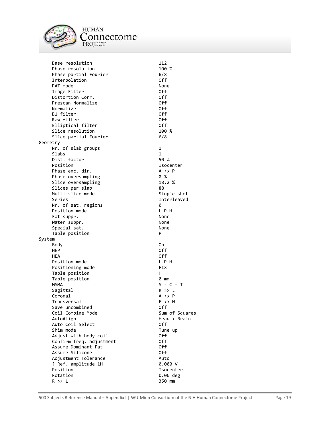

**HUMAN** connectome PROJECT

Base resolution 112<br>Phase resolution 100 % Phase resolution Phase partial Fourier 6/8 Interpolation PAT mode<br>
Image Filter<br>
Image Filter Image Filter Off Distortion Corr. Off Prescan Normalize Off Normalize B1 filter Off Raw filter off and the Contract of the Contract of the Contract of the Contract of the Off and the Off and the Off and the Off and the Off and the Off and the Off and the Off and the Off and the Off and the Off and the Off Elliptical filter off Slice resolution 100 % Slice partial Fourier 6/8 Geometry Nr. of slab groups 1 Slabs 1 Dist. factor 50 % Position **Isocenter** Phase enc. dir. A >> P Phase oversampling 0 % Slice oversampling 18.2 % Slices per slab 88 Multi-slice mode Single shot Series and the interleaved interleaved Nr. of sat. regions 0 Position mode<br>Fat suppr. None Fat suppr. None<br>Water suppr. None None None Water suppr.<br>Special sat. None None Special sat. Table position **P** System Body On HEP Off HEA Off Position mode  $L-P-H$ Positioning mode FIX Table position http://www.fable.org/ Table position 0 mm  $MSMA$   $S - C - T$ Sagittal R >> L Coronal A >> P Transversal F >> H Save uncombined Coil Combine Mode Sum of Squares AutoAlign Head > Brain Auto Coil Select **Off** Shim mode Tune up Adjust with body coil Off Confirm freq. adjustment Off Assume Dominant Fat Off Assume Silicone Adjustment Tolerance Auto ? Ref. amplitude 1H Position **Isocenter** Rotation 0.00 deg  $R$  >> L 350 mm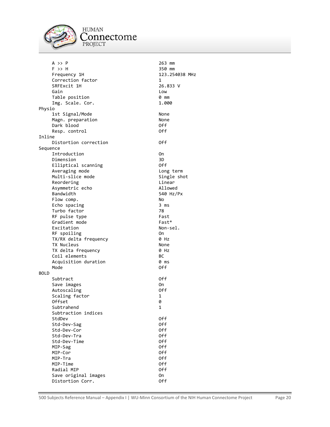

**HUMAN** Connectome PROJECT

 $A \rightarrow P$  263 mm F >> H 350 mm Frequency 1H 123.254038 MHz Correction factor 1<br>
SRFExcit 1H 1886 26.833 V SRFExcit 1H 26.8<br>3.333 Views 26.833 Views 26.833 Views 26.833 Views 26.833 Views 26.833 Views 26.833 Views 26.833 Views 26.833 V Gain **Low** Table position  $\mathsf{Im}\mathsf{F}$ . Scale. Cor. (1.000) Img. Scale. Cor. Physio 1st Signal/Mode None Magn. preparation entitled and the None<br>
Dark blood entitled by Off Dark blood Off Resp. control Inline Distortion correction **CONFICE CONFIDENT** Off Sequence Introduction On Dimension Elliptical scanning and Off Averaging mode **Long term** Multi-slice mode Single shot Reordering **Linear** Linear Asymmetric echo and allowed Allowed Bandwidth 540 Hz/Px Flow comp. No Echo spacing 3 ms Turbo factor **1988**<br>RF pulse type 1988 1988 1988 1988 1988 RF pulse type  $\overline{B}$  and  $\overline{B}$  and  $\overline{B}$  fast  $\overline{B}$  fast  $\overline{B}$ Gradient mode<br>Excitation Fast\* Rom-sel. Excitation RF spoiling On TX/RX delta frequency 0 Hz TX Nucleus None TX delta frequency 0 Hz Coil elements BC Acquisition duration **0 ms** Mode **Off** BOLD Subtract 0ff Save images on the contract of the contract of the contract of the contract of the contract of the contract of the contract of the contract of the contract of the contract of the contract of the contract of the contract of Autoscaling Off Scaling factor 1 Offset 0 Subtrahend 1 Subtraction indices StdDev Off Std-Dev-Sag Off Std-Dev-Cor Off Std-Dev-Tra Off Std-Dev-Time **Off**<br>MIP-Sag Off Off Off MIP-Sag Off Contract of the Contract of the Contract of the Contract of the Off Contract of the Off Contract o<br>
MIP-Contract of the Contract of the Contract of the Off Contract of the Off Contract of the Contract of the C MIP-Cor MIP-Tra Off MIP-Time Off Radial MIP Off Save original images on the On Distortion Corr. 69 06 06 06 06 17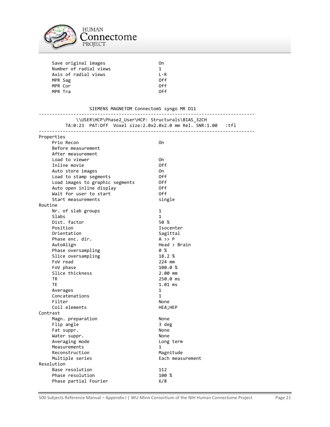

| Save original images   | 0n      |
|------------------------|---------|
| Number of radial views | 1       |
| Axis of radial views   | $I - R$ |
| MPR Sag                | 0ff     |
| MPR Cor                | 0ff     |
| MPR Tra                | ∩ff     |
|                        |         |

| SIEMENS MAGNETOM ConnectomS syngo MR D11<br>-------------<br>----------------- |  |                                                                                                                   |  |
|--------------------------------------------------------------------------------|--|-------------------------------------------------------------------------------------------------------------------|--|
|                                                                                |  | \\USER\HCP\Phase2_User\HCP: Structurals\BIAS_32CH<br>TA:0:23 PAT:0ff Voxel size:2.0x2.0x2.0 mm Rel. SNR:1.00 :tfl |  |
| Properties                                                                     |  |                                                                                                                   |  |
| Prio Recon                                                                     |  | 0n                                                                                                                |  |
| Before measurement                                                             |  |                                                                                                                   |  |
| After measurement                                                              |  |                                                                                                                   |  |
| Load to viewer                                                                 |  | 0n                                                                                                                |  |
| Inline movie                                                                   |  | 0ff                                                                                                               |  |
| Auto store images                                                              |  | 0n<br>0ff                                                                                                         |  |
| Load to stamp segments<br>Load images to graphic segments                      |  | 0ff                                                                                                               |  |
| Auto open inline display                                                       |  | 0ff                                                                                                               |  |
| Wait for user to start                                                         |  | 0ff                                                                                                               |  |
| Start measurements                                                             |  | single                                                                                                            |  |
| Routine                                                                        |  |                                                                                                                   |  |
| Nr. of slab groups                                                             |  | 1                                                                                                                 |  |
| Slabs                                                                          |  | $\mathbf{1}$                                                                                                      |  |
| Dist. factor                                                                   |  | 50%                                                                                                               |  |
| Position                                                                       |  | Isocenter                                                                                                         |  |
| Orientation                                                                    |  | Sagittal                                                                                                          |  |
| Phase enc. dir.                                                                |  | $A \rightarrow P$                                                                                                 |  |
| AutoAlign                                                                      |  | Head > Brain                                                                                                      |  |
| Phase oversampling                                                             |  | 0%                                                                                                                |  |
| Slice oversampling                                                             |  | 18.2 %                                                                                                            |  |
| FoV read                                                                       |  | 224 mm                                                                                                            |  |
| FoV phase                                                                      |  | 100.0%                                                                                                            |  |
| Slice thickness                                                                |  | 2.00 mm                                                                                                           |  |
| <b>TR</b>                                                                      |  | 250.0 ms                                                                                                          |  |
| <b>TE</b>                                                                      |  | $1.01$ ms<br>$\mathbf{1}$                                                                                         |  |
| Averages<br>Concatenations                                                     |  | $\mathbf{1}$                                                                                                      |  |
| Filter                                                                         |  | None                                                                                                              |  |
| Coil elements                                                                  |  | HEA;HEP                                                                                                           |  |
| Contrast                                                                       |  |                                                                                                                   |  |
| Magn. preparation                                                              |  | None                                                                                                              |  |
| Flip angle                                                                     |  | 3 deg                                                                                                             |  |
| Fat suppr.                                                                     |  | None                                                                                                              |  |
| Water suppr.                                                                   |  | None                                                                                                              |  |
| Averaging mode                                                                 |  | Long term                                                                                                         |  |
| Measurements                                                                   |  | $\mathbf{1}$                                                                                                      |  |
| Reconstruction                                                                 |  | Magnitude                                                                                                         |  |
| Multiple series                                                                |  | Each measurement                                                                                                  |  |
| Resolution                                                                     |  |                                                                                                                   |  |
| Base resolution                                                                |  | 112                                                                                                               |  |
| Phase resolution                                                               |  | 100 %                                                                                                             |  |
| Phase partial Fourier                                                          |  | 6/8                                                                                                               |  |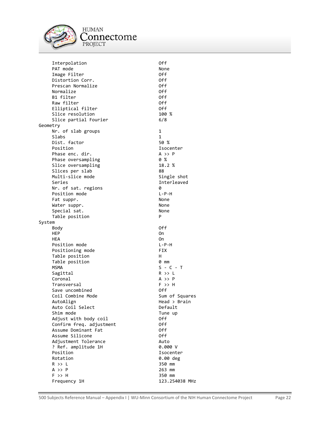

**HUMAN** connectome PROJECT

Interpolation Off PAT mode<br>
Image Filter North Control of the Control of the Control of the Control of the North Control of the North Control of the North Control of the North Control of the North Control of the North Control of the North C Image Filter Off Distortion Corr. Off Prescan Normalize **Canadia Community** Off Christian Community Off Christian Off Christian Off Christian Off Chri<br>
Normalize Community Off Christian Off Christian Off Christian Off Christian Off Christian Off Christian Off Normalize Off B1 filter Off Raw filter Off Elliptical filter Slice resolution 100 % Slice partial Fourier 6/8 Geometry Nr. of slab groups 1 Slabs 1<br>Dist. factor 1 1 50 % Dist. factor<br>Position Isocenter Phase enc. dir.<br>Phase oversampling and the control of % P Phase oversampling Slice oversampling 18.2 % Slices per slab 88 Multi-slice mode Single shot Series **Interleaved** Nr. of sat. regions 0 Position mode  $L-P-H$ Fat suppr. None Water suppr.<br>Special sat. None None Special sat.<br>Table position and the set of the position Table position System Body Off HEP On One of the state of the state of the state of the state of the state of the state of the state of the state of the state of the state of the state of the state of the state of the state of the state of the state of HEA On Position mode L-P-H Positioning mode FIX Table position http://www.fable.org/ Table position 0 mm  $MSMA$   $S - C - T$ Sagittal R >> L Coronal A >> P Transversal F >> H Save uncombined off Coil Combine Mode Sum of Squares AutoAlign **Head** > Brain Auto Coil Select **Default** Shim mode Tune up Adjust with body coil **Off**  Confirm freq. adjustment Off Assume Dominant Fat Off Assume Silicone Off Adjustment Tolerance Auto ? Ref. amplitude 1H<br>Position Isocenter Rotation 0.00 deg  $R$  >> L 350 mm  $A \rightarrow P$  263 mm F >> H 350 mm Frequency 1H 123.254038 MHz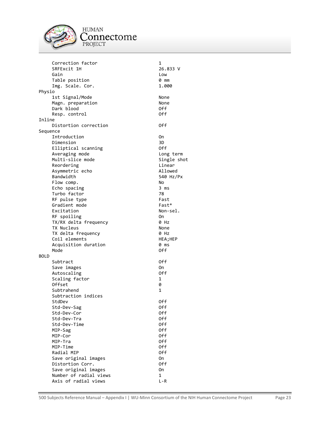

HUMAN<br>Connectome<br><sup>PROJECT</sup>

|             | Correction factor      | 1           |
|-------------|------------------------|-------------|
|             | SRFExcit 1H            | 26.833 V    |
|             | Gain                   | Low         |
|             | Table position         | 0 mm        |
|             | Img. Scale. Cor.       | 1.000       |
| Physio      |                        |             |
|             | 1st Signal/Mode        | None        |
|             | Magn. preparation      | None        |
|             | Dark blood             | 0ff         |
|             | Resp. control          | 0ff         |
| Inline      |                        |             |
|             | Distortion correction  | 0ff         |
| Sequence    |                        |             |
|             | Introduction           | 0n          |
|             |                        | 3D          |
|             | Dimension              |             |
|             | Elliptical scanning    | 0ff         |
|             | Averaging mode         | Long term   |
|             | Multi-slice mode       | Single shot |
|             | Reordering             | Linear      |
|             | Asymmetric echo        | Allowed     |
|             | Bandwidth              | 540 Hz/Px   |
|             | Flow comp.             | No          |
|             | Echo spacing           | 3 ms        |
|             | Turbo factor           | 78          |
|             | RF pulse type          | Fast        |
|             | Gradient mode          | Fast*       |
|             | Excitation             | Non-sel.    |
|             | RF spoiling            | 0n          |
|             | TX/RX delta frequency  | 0 Hz        |
|             | TX Nucleus             | None        |
|             | TX delta frequency     | 0 Hz        |
|             | Coil elements          | HEA;HEP     |
|             | Acquisition duration   | 0 ms        |
|             | Mode                   | 0ff         |
| <b>BOLD</b> |                        |             |
|             |                        |             |
|             | Subtract               | 0ff         |
|             | Save images            | 0n          |
|             | Autoscaling            | 0ff         |
|             | Scaling factor         | 1           |
|             | 0ffset                 | 0           |
|             | Subtrahend             | 1           |
|             | Subtraction indices    |             |
|             | StdDev                 | 0ff         |
|             | Std-Dev-Sag            | 0ff         |
|             | Std-Dev-Cor            | 0ff         |
|             | Std-Dev-Tra            | 0ff         |
|             | Std-Dev-Time           | 0ff         |
|             | MIP-Sag                | 0ff         |
|             | MIP-Cor                | 0ff         |
|             | MIP-Tra                | 0ff         |
|             | MIP-Time               | 0ff         |
|             | Radial MIP             | 0ff         |
|             | Save original images   | On          |
|             | Distortion Corr.       | 0ff         |
|             |                        |             |
|             | Save original images   | 0n          |
|             | Number of radial views | 1           |
|             | Axis of radial views   | $L - R$     |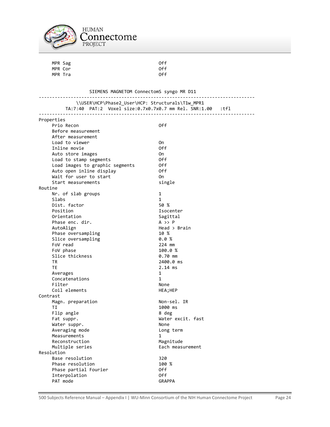

| MPR Sag                                               | 0ff  |
|-------------------------------------------------------|------|
| MPR Cor                                               | 0ff  |
| MPR Tra                                               | 0ff  |
|                                                       |      |
| SIEMENS MAGNETOM ConnectomS syngo MR D11              |      |
| \\USER\HCP\Phase2 User\HCP: Structurals\T1w MPR1      |      |
| TA:7:40 PAT:2 Voxel size:0.7x0.7x0.7 mm Rel. SNR:1.00 | tfl: |
| Properties                                            |      |
| Prio Recon                                            | 0ff  |
| Before measurement                                    |      |
| After measurement                                     |      |
| Load to viewer                                        | 0n   |
| Inline movie                                          | 0ff  |
| Auto store images                                     | 0n   |
| Load to stamp segments                                | 0ff  |
| Load images to graphic segments                       | 0ff  |
| Auto open inline display                              | 0ff  |
| Wait for user to start                                | 0n   |

Start measurements single Routine Nr. of slab groups 1 Slabs 1<br>Dist. factor 1 1 50 % Dist. factor<br>Position Orientation Sagitt<br>Phase enc. dir. The Sagittal A >> P Phase enc. dir.<br>AutoAlign Phase oversampling Slice oversampling 0.0 %

Contrast

Resolution

 FoV read 224 mm FoV phase 100.0 % Slice thickness 6.70 mm TR 2400.0 ms TE 2.14 ms Averages 1 Concatenations 1 Filter None Coil elements HEA; HEP Magn. preparation Non-sel. IR TI 1000 ms Flip angle 8 deg Fat suppr. The contract of the Mater excit. fast Water suppr. None Averaging mode by the Long term Measurements 1 Reconstruction<br>Multiple series Each measurement Base resolution 320 Phase resolution 100 % Phase partial Fourier and Off Interpolation Off PAT mode GRAPPA

Isocenter<br>Sagittal

 $Head > Brain$  10 %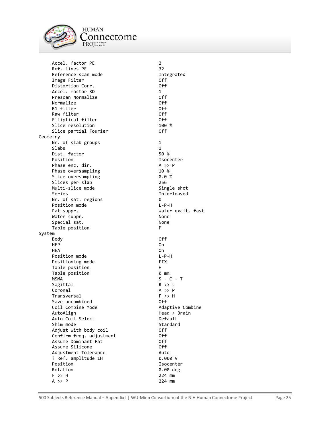

**HUMAN** connectome PROJECT

Accel. factor PE 2 Ref. lines PE 32 Reference scan mode **Integrated**  Image Filter Off Distortion Corr. Accel. factor 3D 1 Prescan Normalize **Canadia Communist Construction**<br>Normalize Off Normalize Off B1 filter Raw filter off and the Contract of the Contract of the Contract of the Contract of the Off and the Off and the Off and the Off and the Off and the Off and the Off and the Off and the Off and the Off and the Off and the Off Elliptical filter off Slice resolution 100 %<br>Slice partial Fourier 100 % Slice partial Fourier Geometry Nr. of slab groups 1 Slabs 1<br>Dist. factor 50 % Dist. factor<br>Position Phase enc. dir. A >> P Phase oversampling 10 % Slice oversampling 0.0 % Slices per slab 256 Multi-slice mode Single shot Series and the interleaved interleaved Nr. of sat. regions 0 Position mode L-P-H Water suppr.<br>Special sat. None None Special sat. No. 1996<br>Table position and the set of the p Table position System Body Off HEP On One of the state of the state of the state of the state of the state of the state of the state of the state of the state of the state of the state of the state of the state of the state of the state of the state of HEA On Position mode  $L-P-H$ Positioning mode FIX Table position http://www.fable.com/ Table position 0 mm  $MSMA$   $S - C - T$ Sagittal R >> L Coronal A >> P Transversal F >> H Save uncombined off Coil Combine Mode **Adaptive Combine** AutoAlign **Head** > Brain Auto Coil Select **Default**  Shim mode Standard Adjust with body coil Off Confirm freq. adjustment Off Assume Dominant Fat Off Assume Silicone Off Adjustment Tolerance ? Ref. amplitude 1H 0.000 V Position **Isocenter** Rotation **0.00** deg F >> H 224 mm  $A \rightarrow P$  224 mm

Isocenter Water excit. fast<br>None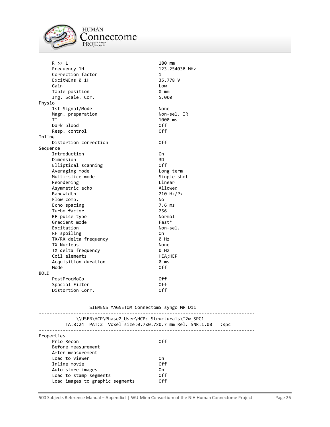

**HUMAN**  $\mathop{{\rm Connectome}}_{{\mathop{\rm PROJECT}}}$ 

 R >> L 180 mm Frequency 1H 123.254038 MHz Correction factor 1<br>ExcitWEns 0 1H 135.778 V ExcitWEns 0 1H 35.7<br>Gain 35.7 Gain **Low** Table position<br>Tmg. Scale. Cor. 1999 1999 1999 Img. Scale. Cor. Physio 1st Signal/Mode None Magn. preparation Non-sel. IR TI 1000 ms Dark blood Off Resp. control Inline Distortion correction **Off** Sequence Introduction On Dimension Elliptical scanning off Averaging mode **Long term** Multi-slice mode Single shot Reordering **Linear** Linear Asymmetric echo Allowed Bandwidth 210 Hz/Px Flow comp. No Echo spacing the control of the control of the control of the control of the control of the control of the control of the control of the control of the control of the control of the control of the control of the control of Turbo factor<br>RF pulse type and the community of the Pormal RF pulse type  $\overline{R}$  and  $\overline{R}$  and  $\overline{R}$  and  $\overline{R}$  and  $\overline{R}$  and  $\overline{R}$  and  $\overline{R}$  and  $\overline{R}$  and  $\overline{R}$  and  $\overline{R}$  and  $\overline{R}$  and  $\overline{R}$  and  $\overline{R}$  and  $\overline{R}$  and  $\overline{R}$  and  $\overline{R}$  and Gradient mode<br>Excitation Fast\* Routiness Research Mon-sel. Excitation RF spoiling 00 TX/RX delta frequency 0 Hz TX Nucleus None TX delta frequency **0 Hz** Coil elements HEA;HEP Acquisition duration **0 ms** Mode **Off** BOLD PostProcMoCo Off Spacial Filter **Off** Distortion Corr. 6. 2008 0.05 Off

SIEMENS MAGNETOM ConnectomS syngo MR D11

| \\USER\HCP\Phase2 User\HCP: Structurals\T2w SPC1<br>TA:8:24 PAT:2 Voxel size:0.7x0.7x0.7 mm Rel. SNR:1.00 | $:$ spc |
|-----------------------------------------------------------------------------------------------------------|---------|
| Properties                                                                                                |         |
| Prio Recon                                                                                                | 0ff     |
| Before measurement                                                                                        |         |
| After measurement                                                                                         |         |
| Load to viewer                                                                                            | 0n      |
| Inline movie                                                                                              | 0ff     |
| Auto store images                                                                                         | 0n      |
| Load to stamp segments                                                                                    | 0ff     |
| Load images to graphic segments                                                                           | 0ff     |
|                                                                                                           |         |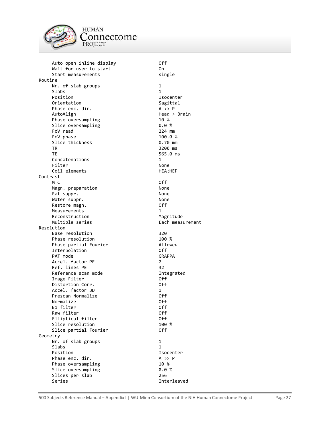

**HUMAN** Connectome PROJECT

Auto open inline display off Wait for user to start on the On Start measurements single Routine Nr. of slab groups 1<br>Slabs 1 Slabs 1 Position and Isocenter<br>Orientation 1999 - The Sagittal Orientation Sagitt<br>Phase enc. dir. The Sagittal A >> P Phase enc. dir. AutoAlign Head > Brain Phase oversampling 10 % Slice oversampling 1.0 % 8.0 %<br>FoV read 1.0 224 mm FoV read 224 mm<br>FoV phase 224 mm FoV phase 100.0 %<br>Slice thickness 100.0 % 9.70 mm Slice thickness TR 3200 ms<br>TE 565.0 m Concatenations 1 Filter None Coil elements HEA; HEP Contrast MTC Off Magn. preparation None Fat suppr. None Water suppr. None Restore magn. 06 Measurements<br>Reconstruction and the magnitude of the Magnitude Reconstruction<br>Multiple series Resolution Base resolution 320 Phase resolution 100 % Phase partial Fourier **Allowed**  Interpolation Off PAT mode GRAPPA Accel. factor PE 2 Ref. lines PE 32 Reference scan mode **Integrated** Image Filter **Off** Distortion Corr. 6. 2008 0.05 Off Accel. factor 3D 1 Prescan Normalize **Off** Normalize Off B1 filter Off Raw filter **Calculation** Off Elliptical filter off Slice resolution 100 % Slice partial Fourier and Off Geometry Nr. of slab groups 1 Slabs 1<br>Position 1: Phase enc. dir. A >> P Phase oversampling 10 % Slice oversampling 0.0 % Slices per slab 256 Series and the contract of the Interleaved

565.0 ms Each measurement Isocenter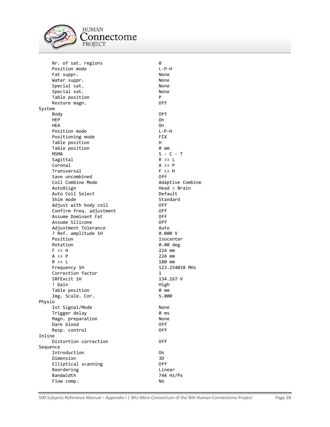

'onnectome PROJECT Nr. of sat. regions  $\begin{array}{ccc}\n0 & 0 \\
0 & 0\n\end{array}$ Position mode

Fat suppr. None Water suppr. None Special sat. None<br>Special sat. None Special sat.<br>Table position of the position Table position<br>Restore magn. The position of the position of the position of the position of the position of the position of <br>Distribution of the position of the position of the position of the position of the position of Restore magn. System Body Off HEP On One of the state of the state of the state of the state of the state of the state of the state of the state of the state of the state of the state of the state of the state of the state of the state of the state of HEA On Position mode **L-P-H** Positioning mode FIX Table position http://www.fable.com/ Table position 0 mm MSMA S - C - T<br>Sagittal Sagittal R >> L Sagittal Coronal A >> P Transversal F >> H Save uncombined off Coil Combine Mode **Adaptive Combine** AutoAlign **Head** > Brain Auto Coil Select **Default** Shim mode Standard Adjust with body coil the confirm of the Off Confirm freq. adjustment Confirm freq. adjustment Off Assume Dominant Fat Off Assume Silicone Off Adjustment Tolerance ? Ref. amplitude 1H 0.000 V Position **Isocenter** Rotation 0.00 deg F >> H 224 mm  $A \rightarrow P$  224 mm R >> L 180 mm Frequency 1H 123.254038 MHz Correction factor 1 SRFExcit 1H 134.167 V ! Gain High Table position 0 mm Img. Scale. Cor. 5.000 Physio 1st Signal/Mode None Trigger delay **0 ms** Magn. preparation None Dark blood Off Resp. control Inline Distortion correction **Off** Sequence Introduction On Dimension 3D<br>Elliptical scanning 1988 1988 1989 Elliptical scanning Reordering **Linear** Linear Bandwidth 744 Hz/Px Flow comp. No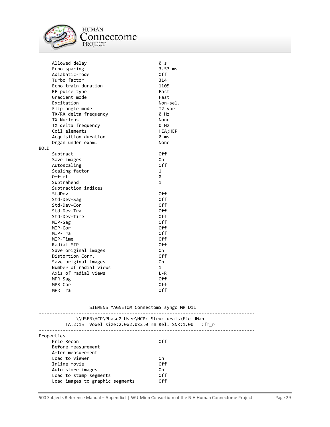

**HUMAN** Connectome PROJECT

 Allowed delay 0 s Echo spacing the set of the set of the set of the set of the set of the set of the set of the set of the set o<br>
and the set of the set of the set of the set of the set of the set of the set of the set of the set of the set Adiabatic-mode 0ff<br>Turbo factor 1999 - 2014 Turbo factor 514<br>Echo train duration 51105 Echo train duration 1105<br>RF pulse type 1105 RF pulse type Fast<br>Gradient mode Fast Gradient mode<br>Excitation example and the Fast Ron-sel. Excitation **Excitation**<br>Flip angle mode **Accord Eliment Contract Contract** T2 var Flip angle mode TX/RX delta frequency 0 Hz TX Nucleus None TX delta frequency **0 Hz** Coil elements HEA; HEA; HEA Acquisition duration 0 ms Organ under exam. None BOLD Subtract 0ff<br>
Save images and the control of the Control of the Control of the Control of the Control of the Control of the<br>
Save images and the Control of the Control of the Control of the Control of the Control of the Co Save images Autoscaling Off Scaling factor 1 Offset 0 Subtrahend 1 Subtraction indices StdDev Off Std-Dev-Sag Off Std-Dev-Cor Off Std-Dev-Tra Off Std-Dev-Time **Off**<br>MIP-Sag Off Off Off MIP-Sag Off Contract of the Contract of the Contract of the Contract of the Off Contract of the Off Contract o<br>
MIP-Contract of the Contract of the Contract of the Off Contract of the Off Contract of the Contract of the C MIP-Cor MIP-Tra 0ff MIP-Time Off Radial MIP Off Save original images on On Distortion Corr. 69 06 06 06 06 17 Save original images on On Number of radial views 1 Axis of radial views L-R MPR Sag Off MPR Cor Off MPR Tra 0ff

SIEMENS MAGNETOM ConnectomS syngo MR D11

| TA:2:15     Voxel size:2.0x2.0x2.0 mm Rel. SNR:1.00 | \\USER\HCP\Phase2 User\HCP: Structurals\FieldMap<br>:fm r |
|-----------------------------------------------------|-----------------------------------------------------------|
| Properties                                          |                                                           |
| Prio Recon                                          | 0ff                                                       |
| Before measurement                                  |                                                           |
| After measurement                                   |                                                           |
| Load to viewer                                      | 0n                                                        |
| Inline movie                                        | 0ff                                                       |
| Auto store images                                   | 0n                                                        |
| Load to stamp segments                              | 0ff                                                       |
| Load images to graphic segments                     | 0ff                                                       |
|                                                     |                                                           |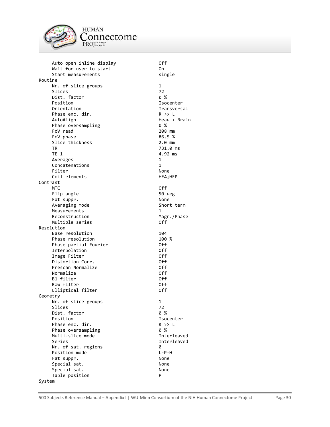

**HUMAN** Connectome PROJECT

Auto open inline display off Wait for user to start on the On Start measurements single Routine Nr. of slice groups 1<br>Slices 22 Slices 72<br>Dist. factor 6 % 9 % Dist. factor<br>Position Position and the Isocenter<br>Orientation Christian Internation Phase enc. dir. R >> L AutoAlign Head > Brain Phase oversampling  $\begin{array}{ccc} 0 & \text{\%} \\ \text{FoV} & \text{read} \end{array}$ FoV read 208 mm<br>FoV phase 200 200 200 200 201 202 36.5 % FoV phase Slice thickness 2.0 mm TR 731.0 ms TE 1 4.92 ms Averages 1 Concatenations 1 Filter None Coil elements HEA;HE Contrast MTC Off Flip angle 50 deg Fat suppr. None Averaging mode Short Measurements 1<br>Reconstruction 1 Magn./ Reconstruction Magnetic Magnetic Magnetic Magnetic Magnetic Magnetic Magnetic Magnetic Magnetic Magnetic Magne<br>Mortic Magnetic Magnetic Magnetic Magnetic Magnetic Magnetic Magnetic Magnetic Magnetic Magnetic Magnetic Magn<br> Multiple series Resolution Base resolution 104 Phase resolution 100 % Phase partial Fourier and Off Interpolation Off Image Filter **Off**  Distortion Corr. Off Prescan Normalize **Off** Normalize Off B1 filter Off Raw filter off and the contract of the contract of the contract of the contract of the contract of the contract of the contract of the contract of the contract of the contract of the contract of the contract of the contrac Elliptical filter off Geometry Nr. of slice groups 1 Slices 72 Dist. factor 0 % Position and Isocenter and Isocenter and Isocenter and Isocenter and Isocenter and Isocenter and Isocenter and Isocenter and Isocenter and Isocenter and Isocenter and Isocenter and Isocenter and Isocenter and Isocenter and Phase enc. dir.<br>Phase oversampling encodence of  $\begin{array}{ccc} R & >> L \\ 0 & \text{``R'} \end{array}$ Phase oversampling  $\begin{array}{ccc} 0 & \times \\ \text{Multi-slice mode} \end{array}$ Multi-slice mode Series and the contract of the Interleaved Nr. of sat. regions  $\begin{array}{ccc} 0 & 0 \\ 0 & 0 \end{array}$  Position mode Position mode Fat suppr. None Special sat. None Special sat. None Table position **P** System

500 Subjects Reference Manual – Appendix I | WU-Minn Consortium of the NIH Human Connectome Project Page 30

| 1<br>ms<br>1S    |  |
|------------------|--|
| :P               |  |
| s                |  |
| term             |  |
| 'Phase           |  |
|                  |  |
|                  |  |
|                  |  |
|                  |  |
|                  |  |
|                  |  |
|                  |  |
| ıter             |  |
| ,                |  |
| leaved<br>leaved |  |
|                  |  |
|                  |  |

Transversal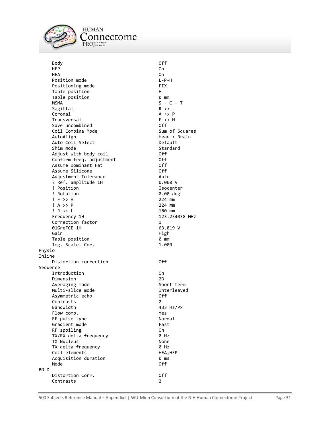

**HUMAN** 'onnectome PROJECT

 Body Off HEP On One of the state of the state of the state of the state of the state of the state of the state of the state of the state of the state of the state of the state of the state of the state of the state of the state of HEA On Position mode  $L-P-H$ Positioning mode **FIX**<br>Table position **FIX** Table position<br>Table position Table newsletch of the Manus of the Manus of the Manus of the Manus of the Manus of the Manus o Table position MSMA S - C - T Sagittal Coronal A >> P Transversal F >> H Save uncombined off Coil Combine Mode Sum of Squares AutoAlign Head > Brain Auto Coil Select Shim mode<br>Adiust with body coil in the Standard Adjust with body coil Off Confirm freq. adjustment Assume Dominant Fat **Off** Assume Silicone **Off** Adjustment Tolerance **Auto** Auto ? Ref. amplitude 1H 0.000 V ! Position **Isocenter**  ! Rotation 0.00 deg ! F >> H 224 mm ! A >> P 224 mm ! R >> L<br>Frequency 1H Correction factor 1<br>
01GreFCE 1H 163.819 V 01GreFCE 1H Gain **High Albert Strategie** Table position 0 mm Img. Scale. Cor. 1.000 Physio Inline Distortion correction **Off** Sequence Introduction On Dimension 2D Averaging mode Short term Multi-slice mode and a series of the Interleaved Asymmetric echo **Off**  Contrasts 2 Bandwidth 433 Hz/Px Flow comp. The result of the set of the set of the set of the set of the set of the set of the set of the set of the set of the set of the set of the set of the set of the set of the set of the set of the set of the set of RF pulse type Normal Gradient mode Fast RF spoiling 00 TX/RX delta frequency 0 Hz TX Nucleus<br>TX delta frequency example that the None TX delta frequency<br>
Coil elements<br>
Oil elements Coil elements Acquisition duration **0 ms** Mode **Off** BOLD Distortion Corr. Off Contrasts 2

123.254038 MHz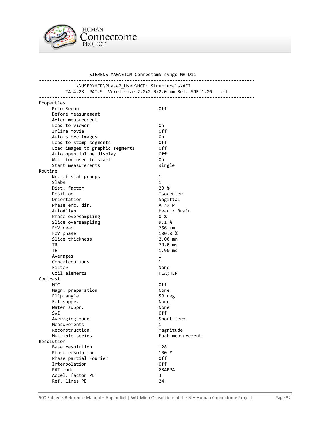

 SIEMENS MAGNETOM ConnectomS syngo MR D11 --------------------------------------------------------------------------------- \\USER\HCP\Phase2\_User\HCP: Structurals\AFI TA:4:28 PAT:9 Voxel size:2.0x2.0x2.0 mm Rel. SNR:1.00 :fl --------------------------------------------------------------------------------- Properties Prio Recon Off Before measurement After measurement Load to viewer and the one one one Inline movie **Off** Auto store images on the On Load to stamp segments Off Load images to graphic segments off<br>Auto open inline display off Auto open inline display Wait for user to start **CON** Start measurements single Routine Nr. of slab groups 1 Slabs 1 Dist. factor 20 % Position **Isocenter** Orientation Sagittal Phase enc. dir. and the control of the A >> P<br>AutoAlign the Head >  $\begin{array}{c} \text{Head} > \text{Brain} \\ \text{0 %} \end{array}$ Phase oversampling  $\begin{array}{ccc} 0 & 0 & 0 \\ 0 & 0 & 0 \\ 0 & 0 & 0 \\ 0 & 0 & 0 \\ 0 & 0 & 0 \\ 0 & 0 & 0 \\ 0 & 0 & 0 \\ 0 & 0 & 0 \\ 0 & 0 & 0 \\ 0 & 0 & 0 \\ 0 & 0 & 0 \\ 0 & 0 & 0 \\ 0 & 0 & 0 \\ 0 & 0 & 0 \\ 0 & 0 & 0 \\ 0 & 0 & 0 \\ 0 & 0 & 0 \\ 0 & 0 & 0 \\ 0 & 0 & 0 \\ 0 & 0 & 0 & 0 \\ 0 & 0 & 0 & 0 \\$ Slice oversampling 5.1 %<br>FoV read 5.1 % 256 mm FoV read FoV phase 100.0 % Slice thickness 2.00 mm TR 70.0 ms TE 1.90 ms Averages 1 Concatenations 1 Filter None Coil elements HEA; HEP Contrast MTC Off Magn. preparation and the None Flip angle 50 deg Fat suppr. None Water suppr. None SWI Question of the contract of the contract of the contract of the contract of the contract of the contract of the contract of the contract of the contract of the contract of the contract of the contract of the contract o Averaging mode Short term Measurements 1 Reconstruction Magnitude Multiple series entitled and the Each measurement Resolution Base resolution 128<br>Phase resolution 100 % Phase resolution Phase partial Fourier and Off Interpolation Off PAT mode GRAPPA Accel. factor PE 3 Ref. lines PE 24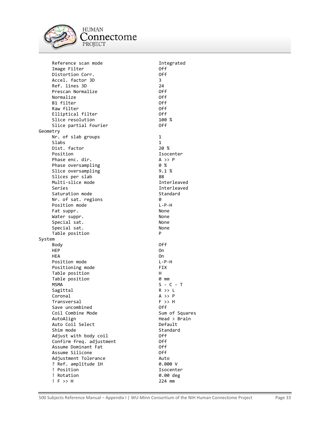

Reference scan mode **Integrated**  Image Filter Off Distortion Corr. Accel. factor 3D 3 Ref. lines 3D 24 Prescan Normalize Off Normalize Off B1 filter Off Raw filter Elliptical filter off Slice resolution 100 % Slice partial Fourier and Off Geometry Nr. of slab groups 1 Slabs 1<br>Dist. factor 1 20 % Dist. factor<br>Position Phase enc. dir. A >> P Phase oversampling 0 % Slice oversampling 5.1 % Slices per slab 88 Multi-slice mode and a series are interleaved Series and the contract of the Interleaved Saturation mode Standard Nr. of sat. regions 0 Position mode L-P-H Fat suppr. None<br>Water suppr. None None None Water suppr.<br>Special sat. None None Special sat. None<br>Special sat. None Special sat. Table position **P** System Body Off HEP On One of the state of the state of the state of the state of the state of the state of the state of the state of the state of the state of the state of the state of the state of the state of the state of the state of HEA On Position mode  $L-P-H$ Positioning mode FIX Table position http://www.fable.com/ Table position 0 mm  $MSMA$   $S - C - T$ Sagittal R >> L Coronal A >> P Transversal F >> H Save uncombined Coil Combine Mode Sum of Squares AutoAlign **Head** > Brain Auto Coil Select **Default** Shim mode<br>Adiust with body coil in the Standard of the Standard Adjust with body coil Off Confirm freq. adjustment Off Assume Dominant Fat Off Assume Silicone Adjustment Tolerance Auto ? Ref. amplitude 1H ! Position **ISOCENTER**  ! Rotation 0.00 deg ! F >> H 224 mm

Isocenter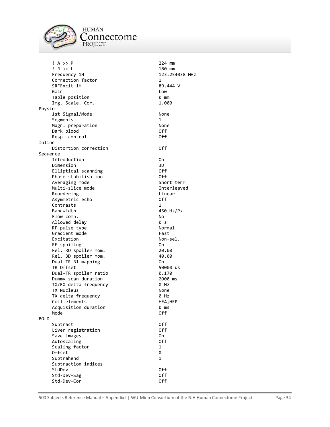

**HUMAN** connectome PROJECT

 ! A >> P 224 mm ! R >> L 180 mm Frequency 1H 123.254038 MHz Correction factor 1<br>
SRFExcit 1H 189.444 V SRFExcit 1H 89.4<br>Gain by Download Gain **Low** Table position 1.000 mm<br>Tmg. Scale. Cor. 1.000 Img. Scale. Cor. Physio 1st Signal/Mode None Segments 1 Magn. preparation None Dark blood Off Resp. control Inline Distortion correction **CONFICE CONFIDENT** Off Sequence Introduction On Dimension 3D Elliptical scanning and Off Phase stabilisation off Averaging mode Short term Multi-slice mode and a series of the Interleaved Reordering **Linear** Linear Asymmetric echo off Contrasts 1 Bandwidth 450 Hz/Px Flow comp. No Allowed delay 0 s RF pulse type Gradient mode Fast Excitation Non-sel. RF spoiling **On**  Rel. RO spoiler mom. 20.00 Rel. 3D spoiler mom. 40.00 Dual-TR B1 mapping 0n TR Offset 50000 us Dual-TR spoiler ratio  $0.170$ Dummy scan duration **2000** ms TX/RX delta frequency 0 Hz TX Nucleus None TX delta frequency 0 Hz Coil elements HEA; HEP Acquisition duration **0 ms** Mode **Off** BOLD Subtract Off Liver registration Save images and the control of the control of the control of the control of the control of the control of the c<br>Save of the control of the control of the control of the control of the control of the control of the control Autoscaling Scaling factor 1 Offset 0 Subtrahend 1 Subtraction indices StdDev Off Std-Dev-Sag Off Std-Dev-Cor Off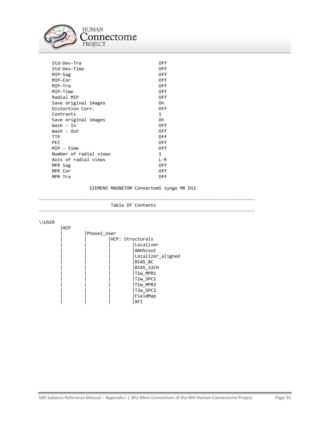

| Std-Dev-Tra<br>Std-Dev-Time<br>MIP-Sag<br>MIP-Cor<br>MIP-Tra<br>MIP-Time<br>Radial MIP<br>Save original images<br>Distortion Corr.<br>Contrasts<br>Save original images<br>Wash - In<br>Wash - Out<br><b>TTP</b><br>PEI<br>MIP - time | 0ff<br>0ff<br>0ff<br>0ff<br>0ff<br>0ff<br>0ff<br>On<br>0ff<br>1<br>0n<br>0ff<br>0ff<br>0ff<br>0ff<br>0ff |
|---------------------------------------------------------------------------------------------------------------------------------------------------------------------------------------------------------------------------------------|----------------------------------------------------------------------------------------------------------|
|                                                                                                                                                                                                                                       |                                                                                                          |
|                                                                                                                                                                                                                                       |                                                                                                          |
| Number of radial views                                                                                                                                                                                                                | 1                                                                                                        |
| Axis of radial views                                                                                                                                                                                                                  | $I - R$                                                                                                  |
| MPR Sag                                                                                                                                                                                                                               | 0ff                                                                                                      |
| MPR Cor                                                                                                                                                                                                                               | 0ff                                                                                                      |
| MPR Tra                                                                                                                                                                                                                               | 0ff                                                                                                      |
|                                                                                                                                                                                                                                       |                                                                                                          |

SIEMENS MAGNETOM ConnectomS syngo MR D11

--------------------------------------------------------------------------------- Table Of Contents ---------------------------------------------------------------------------------

\\USER

| <b>HCP</b> |             |  |                   |
|------------|-------------|--|-------------------|
|            | Phase2 User |  |                   |
|            |             |  | HCP: Structurals  |
|            |             |  | Localizer         |
|            |             |  | AAHScout          |
|            |             |  | Localizer_aligned |
|            |             |  | <b>BIAS BC</b>    |
|            |             |  | BIAS 32CH         |
|            |             |  | T1w MPR1          |
|            |             |  | T2w SPC1          |
|            |             |  | T1w MPR2          |
|            |             |  | T2w SPC2          |
|            |             |  | FieldMap          |
|            |             |  | AFI               |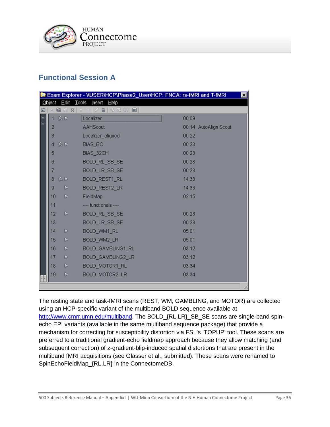

# <span id="page-35-0"></span>**Functional Session A**

|   |        |                  | <b>R</b> Exam Explorer - WUSERVHCPVPhase2_UserVHCP: FNCA: rs-fMRI and T-fMRI | $\vert x \vert$       |
|---|--------|------------------|------------------------------------------------------------------------------|-----------------------|
|   | Object |                  | Edit Tools<br>jnsert Help                                                    |                       |
|   |        | .                | ⊹8 5   B<br>▣                                                                |                       |
| E |        | 忍卜               | Localizer                                                                    | 00:09                 |
|   | 2      |                  | AAHScout                                                                     | 00:14 AutoAlign Scout |
|   | 3      |                  | Localizer_aligned                                                            | 00:22                 |
|   | 4      | 忍卜               | BIAS_BC                                                                      | 00:23                 |
|   | 5      |                  | BIAS_32CH                                                                    | 00:23                 |
|   | 6      |                  | BOLD_RL_SB_SE                                                                | 00:28                 |
|   |        |                  | BOLD_LR_SB_SE                                                                | 00:28                 |
|   | 8      | 忍入               | BOLD_REST1_RL                                                                | 14:33                 |
|   | 9      | D                | BOLD_REST2_LR                                                                | 14:33                 |
|   | 10     | D                | FieldMap                                                                     | 02:15                 |
|   | 11     |                  | ---- functionals ----                                                        |                       |
|   | 12     | Þ                | BOLD RL SB SE                                                                | 00:28                 |
|   | 13     |                  | BOLD_LR_SB_SE                                                                | 00:28                 |
|   | 14     | D                | BOLD_WM1_RL                                                                  | 05:01                 |
|   | 15     | $\triangleright$ | BOLD_WM2_LR                                                                  | 05:01                 |
|   | 16     | Þ                | BOLD_GAMBLING1_RL                                                            | 03:12                 |
|   | 17     | D                | BOLD GAMBLING2 LR                                                            | 03:12                 |
|   | 18     | Þ                | BOLD_MOTOR1_RL                                                               | 03:34                 |
|   | 19     | D                | BOLD_MOTOR2_LR                                                               | 03:34                 |
|   |        |                  |                                                                              |                       |
|   |        |                  |                                                                              |                       |

The resting state and task-fMRI scans (REST, WM, GAMBLING, and MOTOR) are collected using an HCP-specific variant of the multiband BOLD sequence available at [http://www.cmrr.umn.edu/multiband.](http://www.cmrr.umn.edu/multiband) The BOLD\_{RL,LR}\_SB\_SE scans are single-band spinecho EPI variants (available in the same multiband sequence package) that provide a mechanism for correcting for susceptibility distortion via FSL's 'TOPUP' tool. These scans are preferred to a traditional gradient-echo fieldmap approach because they allow matching (and subsequent correction) of z-gradient-blip-induced spatial distortions that are present in the multiband fMRI acquisitions (see Glasser et al., submitted). These scans were renamed to SpinEchoFieldMap\_{RL,LR} in the ConnectomeDB.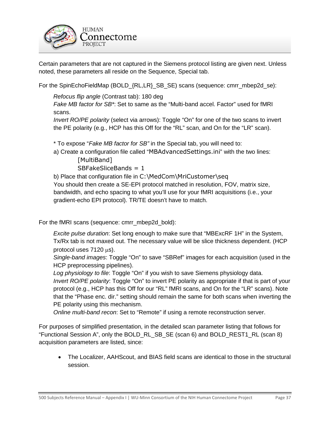

Certain parameters that are not captured in the Siemens protocol listing are given next. Unless noted, these parameters all reside on the Sequence, Special tab.

For the SpinEchoFieldMap (BOLD\_{RL,LR}\_SB\_SE) scans (sequence: cmrr\_mbep2d\_se):

*Refocus flip angle* (Contrast tab): 180 deg

*Fake MB factor for SB\**: Set to same as the "Multi-band accel. Factor" used for fMRI scans.

*Invert RO/PE polarity* (select via arrows): Toggle "On" for one of the two scans to invert the PE polarity (e.g., HCP has this Off for the "RL" scan, and On for the "LR" scan).

\* To expose "*Fake MB factor for SB"* in the Special tab, you will need to:

a) Create a configuration file called "MBAdvancedSettings.ini" with the two lines:

[MultiBand]

SBFakeSliceBands = 1

b) Place that configuration file in C:\MedCom\MriCustomer\seq You should then create a SE-EPI protocol matched in resolution, FOV, matrix size, bandwidth, and echo spacing to what you'll use for your fMRI acquisitions (i.e., your gradient-echo EPI protocol). TR/TE doesn't have to match.

For the fMRI scans (sequence: cmrr\_mbep2d\_bold):

*Excite pulse duration*: Set long enough to make sure that "MBExcRF 1H" in the System, Tx/Rx tab is not maxed out. The necessary value will be slice thickness dependent. (HCP protocol uses 7120 µs).

*Single-band images*: Toggle "On" to save "SBRef" images for each acquisition (used in the HCP preprocessing pipelines).

*Log physiology to file*: Toggle "On" if you wish to save Siemens physiology data.

*Invert RO/PE polarity*: Toggle "On" to invert PE polarity as appropriate if that is part of your protocol (e.g., HCP has this Off for our "RL" fMRI scans, and On for the "LR" scans). Note that the "Phase enc. dir." setting should remain the same for both scans when inverting the PE polarity using this mechanism.

*Online multi-band recon*: Set to "Remote" if using a remote reconstruction server.

For purposes of simplified presentation, in the detailed scan parameter listing that follows for "Functional Session A", only the BOLD\_RL\_SB\_SE (scan 6) and BOLD\_REST1\_RL (scan 8) acquisition parameters are listed, since:

• The Localizer, AAHScout, and BIAS field scans are identical to those in the structural session.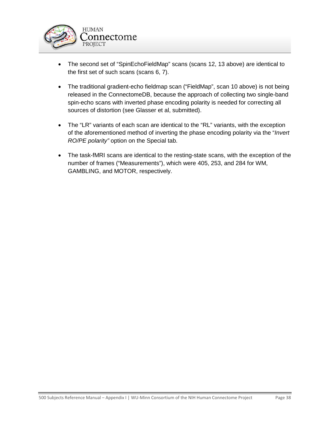

- The second set of "SpinEchoFieldMap" scans (scans 12, 13 above) are identical to the first set of such scans (scans 6, 7).
- The traditional gradient-echo fieldmap scan ("FieldMap", scan 10 above) is not being released in the ConnectomeDB, because the approach of collecting two single-band spin-echo scans with inverted phase encoding polarity is needed for correcting all sources of distortion (see Glasser et al, submitted).
- The "LR" variants of each scan are identical to the "RL" variants, with the exception of the aforementioned method of inverting the phase encoding polarity via the "*Invert RO/PE polarity"* option on the Special tab.
- The task-fMRI scans are identical to the resting-state scans, with the exception of the number of frames ("Measurements"), which were 405, 253, and 284 for WM, GAMBLING, and MOTOR, respectively.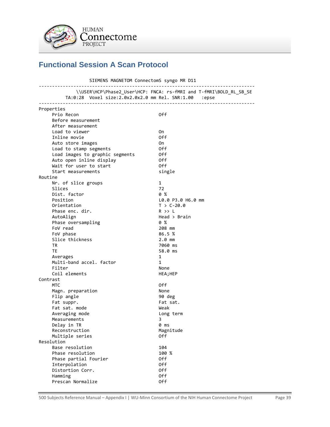

# <span id="page-38-0"></span>**Functional Session A Scan Protocol**

| SIEMENS MAGNETOM ConnectomS syngo MR D11              |                                                                    |  |  |  |
|-------------------------------------------------------|--------------------------------------------------------------------|--|--|--|
| TA:0:28 Voxel size:2.0x2.0x2.0 mm Rel. SNR:1.00 :epse | \\USER\HCP\Phase2_User\HCP: FNCA: rs-fMRI and T-fMRI\BOLD_RL_SB_SE |  |  |  |
| Properties                                            |                                                                    |  |  |  |
| Prio Recon                                            | 0ff                                                                |  |  |  |
| Before measurement                                    |                                                                    |  |  |  |
| After measurement                                     |                                                                    |  |  |  |
| Load to viewer                                        | 0n                                                                 |  |  |  |
| Inline movie                                          | 0ff                                                                |  |  |  |
| Auto store images                                     | 0n                                                                 |  |  |  |
| Load to stamp segments                                | 0ff                                                                |  |  |  |
| Load images to graphic segments                       | 0ff                                                                |  |  |  |
| Auto open inline display                              | 0ff                                                                |  |  |  |
| Wait for user to start                                | 0ff                                                                |  |  |  |
| Start measurements                                    | single                                                             |  |  |  |
| Routine                                               |                                                                    |  |  |  |
| Nr. of slice groups                                   | $\mathbf{1}$                                                       |  |  |  |
| Slices                                                | 72                                                                 |  |  |  |
| Dist. factor                                          | <b>0 %</b>                                                         |  |  |  |
| Position                                              | L0.0 P3.0 H6.0 mm                                                  |  |  |  |
| Orientation                                           | $T > C-20.0$                                                       |  |  |  |
| Phase enc. dir.                                       | $R \gg L$                                                          |  |  |  |
| AutoAlign                                             | Head > Brain                                                       |  |  |  |
| Phase oversampling                                    | 0%                                                                 |  |  |  |
| FoV read                                              | 208 mm                                                             |  |  |  |
| FoV phase                                             | 86.5%                                                              |  |  |  |
| Slice thickness                                       | $2.0$ mm                                                           |  |  |  |
| <b>TR</b>                                             | 7060 ms                                                            |  |  |  |
| <b>TE</b>                                             | 58.0 ms                                                            |  |  |  |
| Averages                                              | 1                                                                  |  |  |  |
| Multi-band accel. factor                              | $\mathbf{1}$                                                       |  |  |  |
| Filter                                                | None                                                               |  |  |  |
| Coil elements                                         | HEA; HEP                                                           |  |  |  |
| Contrast                                              |                                                                    |  |  |  |
| <b>MTC</b>                                            | 0ff                                                                |  |  |  |
| Magn. preparation                                     | None                                                               |  |  |  |
| Flip angle                                            | 90 deg                                                             |  |  |  |
| Fat suppr.                                            | Fat sat.                                                           |  |  |  |
| Fat sat. mode                                         | Weak                                                               |  |  |  |
| Averaging mode                                        | Long term                                                          |  |  |  |
| Measurements                                          | 3                                                                  |  |  |  |
| Delay in TR                                           | 0 ms                                                               |  |  |  |
| Reconstruction                                        | Magnitude                                                          |  |  |  |
| Multiple series<br>Resolution                         | 0ff                                                                |  |  |  |
| Base resolution                                       | 104                                                                |  |  |  |
| Phase resolution                                      | 100 %                                                              |  |  |  |
| Phase partial Fourier                                 | 0ff                                                                |  |  |  |
| Interpolation                                         | 0ff                                                                |  |  |  |
| Distortion Corr.                                      | 0ff                                                                |  |  |  |
| Hamming                                               | 0ff                                                                |  |  |  |
| Prescan Normalize                                     | 0ff                                                                |  |  |  |
|                                                       |                                                                    |  |  |  |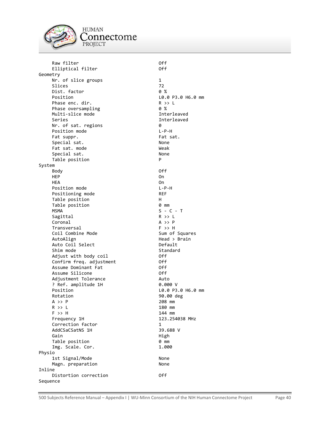

**HUMAN** connectome PROJECT

 Raw filter Off Elliptical filter Geometry Nr. of slice groups 1 Slices 72<br>Dist. factor 1990 1991 1992 Dist. factor<br>Position Phase enc. dir.<br>
Phase oversampling<br>  $\begin{array}{ccc}\n0 & x \\
\end{array}$ Phase oversampling Multi-slice mode and a series of the Interleaved Series **Interleaved**  Nr. of sat. regions 0 Position mode Fat suppr. The saturation of the saturation of the saturation of the saturation of the saturation of the satur Special sat. None Fat sat. mode Weak Special sat. None Table position P System Body Off HEP On One of the state of the state of the state of the state of the state of the state of the state of the state of the state of the state of the state of the state of the state of the state of the state of the state of HEA On Position mode L-P-H Positioning mode REF Table position http://www.fable.org/ Table position  $\begin{array}{ccc} 0 & mm \\ \text{MSMA} & S - C \end{array}$ Sagittal R >> L<br>Coronal R +> P Coronal A >> P<br>Transversal A +> P<br>F >> H Transversal Coil Combine Mode Sum of Squares AutoAlign **Head** > Brain Auto Coil Select **Default** Shim mode Standard Standard Adjust with body coil **Example 2018** Off Confirm freq. adjustment Off Assume Dominant Fat **Off** Assume Silicone **Off** Adjustment Tolerance **Auto** Auto ? Ref. amplitude 1H 0.000 V Position L0.0 P3.0 H6.0 mm Rotation 90.00 deg A >> P 208 mm R >> L 180 mm F >> H 144 mm Frequency 1H 123.254038 MHz Correction factor 1 AddCSaCSatNS 1H Gain **High** High Table position 0 mm<br>
Img. Scale. Cor. 1.000 Img. Scale. Cor. Physio 1st Signal/Mode None Magn. preparation and a series of the None Inline Distortion correction **Off** Sequence

L0.0 P3.0 H6.0 mm  $S - C - T$ <br>R >> L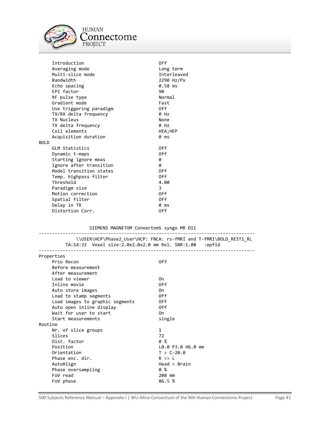

**HUMAN**  $\underset{\text{PROJECT}}{\text{Connectome}}$ 

|             | Introduction            | 0ff         |
|-------------|-------------------------|-------------|
|             | Averaging mode          | Long term   |
|             | Multi-slice mode        | Interleaved |
|             | Bandwidth               | 2290 Hz/Px  |
|             | Echo spacing            | 0.58 ms     |
|             | EPI factor              | 90          |
|             | RF pulse type           | Normal      |
|             | Gradient mode           | Fast        |
|             | Use triggering paradigm | 0ff.        |
|             | TX/RX delta frequency   | 0 Hz        |
|             | TX Nucleus              | None        |
|             | TX delta frequency      | 0 Hz        |
|             | Coil elements           | HEA;HEP     |
|             | Acquisition duration    | 0 ms        |
| <b>BOLD</b> |                         |             |
|             | <b>GLM Statistics</b>   | 0ff         |
|             | Dynamic t-maps          | 0ff         |
|             | Starting ignore meas    | 0           |
|             | Ignore after transition | ø           |
|             | Model transition states | 0ff         |
|             | Temp. highpass filter   | 0ff         |
|             | Threshold               | 4.00        |
|             | Paradigm size           | 3           |
|             | Motion correction       | 0ff         |
|             | Spatial filter          | 0ff         |
|             | Delay in TR             | 0 ms        |
|             | Distortion Corr.        | 0ff         |

### SIEMENS MAGNETOM ConnectomS syngo MR D11

| TA:14:33    Voxel size:2.0x2.0x2.0 mm    Rel. SNR:1.00    :epfid | \\USER\HCP\Phase2_User\HCP: FNCA: rs-fMRI and T-fMRI\BOLD_REST1_RL |
|------------------------------------------------------------------|--------------------------------------------------------------------|
| Properties                                                       |                                                                    |
| Prio Recon                                                       | 0 <sup>ff</sup>                                                    |
| Before measurement                                               |                                                                    |
| After measurement                                                |                                                                    |
| Load to viewer                                                   | 0n                                                                 |
| Inline movie                                                     | 0ff                                                                |
| Auto store images                                                | 0n                                                                 |
| Load to stamp segments                                           | 0ff                                                                |
| Load images to graphic segments                                  | 0ff                                                                |
| Auto open inline display                                         | 0ff                                                                |
| Wait for user to start                                           | 0n                                                                 |
| Start measurements                                               | single                                                             |
| Routine                                                          |                                                                    |
| Nr. of slice groups                                              | 1                                                                  |
| Slices                                                           | 72                                                                 |
| Dist. factor                                                     | 0%                                                                 |
| Position                                                         | L0.0 P3.0 H6.0 mm                                                  |
| Orientation                                                      | $T > C - 20.0$                                                     |
| Phase enc. dir.                                                  | $R \gg L$                                                          |
| AutoAlign                                                        | Head > Brain                                                       |
| Phase oversampling                                               | 0%                                                                 |
| FoV read                                                         | 208 mm                                                             |
| FoV phase                                                        | 86.5 %                                                             |

### 500 Subjects Reference Manual - Appendix I | WU-Minn Consortium of the NIH Human Connectome Project Page 41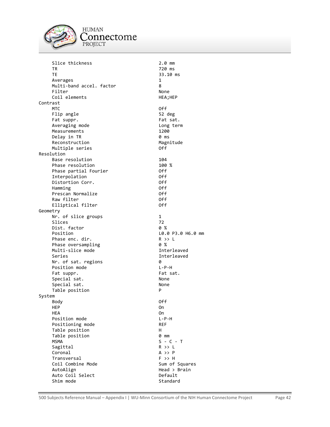

**HUMAN**  $\underset{\text{PROJECT}}{\text{Connectome}}$ 

| Slice thickness          | $2.0$ mm          |
|--------------------------|-------------------|
| ΤR                       | 720 ms            |
| ТE                       | 33.10 ms          |
| Averages                 | 1                 |
| Multi-band accel. factor | 8                 |
| Filter                   | None              |
| Coil elements            | HEA;HEP           |
| Contrast                 |                   |
| MTC                      | 0ff               |
| Flip angle               | 52 deg            |
| Fat suppr.               | Fat sat.          |
| Averaging mode           | Long term         |
| Measurements             | 1200              |
| Delay in TR              | 0 ms              |
| Reconstruction           | Magnitude         |
| Multiple series          | 0ff               |
| Resolution               |                   |
| Base resolution          | 104               |
| Phase resolution         | 100 %             |
| Phase partial Fourier    | 0ff               |
| Interpolation            | 0ff               |
| Distortion Corr.         | 0ff               |
| Hamming                  | 0ff               |
| Prescan Normalize        | 0ff               |
| Raw filter               | 0ff               |
| Elliptical filter        | 0ff               |
| Geometry                 |                   |
| Nr. of slice groups      | 1                 |
| Slices                   | 72                |
| Dist. factor             | 0%                |
| Position                 | L0.0 P3.0 H6.0 mm |
| Phase enc. dir.          | R >> L            |
| Phase oversampling       | 0%                |
| Multi-slice mode         | Interleaved       |
| Series                   | Interleaved       |
| Nr. of sat. regions      | 0                 |
| Position mode            | $L - P - H$       |
| Fat suppr.               | Fat sat.          |
| Special sat.             | None              |
| Special sat.             | None              |
| Table position           | P                 |
| System                   |                   |
| Body                     | 0ff               |
| HEP                      | On                |
| <b>HEA</b>               | 0n                |
| Position mode            | $L - P - H$       |
| Positioning mode         | <b>REF</b>        |
| Table position           | н                 |
| Table position           | 0 mm              |
| <b>MSMA</b>              | $S - C - T$       |
| Sagittal                 | $R$ >> $L$        |
| Coronal                  | A >> P            |
| Transversal              | $F \rightarrow H$ |
| Coil Combine Mode        | Sum of Squares    |
| AutoAlign                | Head > Brain      |
| Auto Coil Select         | Default           |
| Shim mode                | Standard          |
|                          |                   |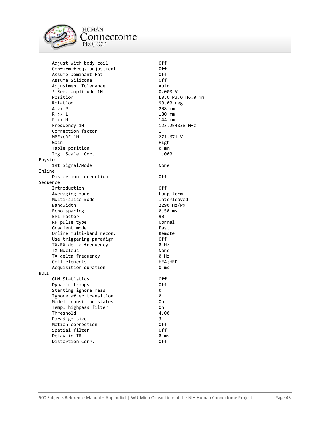

Adjust with body coil the confirm of the Off Confirm freq. adjustment Confirm freq. adjustment Off Assume Dominant Fat Off Assume Silicone Adjustment Tolerance Auto ? Ref. amplitude 1H<br>Position Position  $\begin{array}{ccc}\n\text{Position} & \text{B.0 P3.0 H6.0 mm} \\
\text{Rotation} & \text{90.00 deg}\n\end{array}$ Rotation 90.00 deg<br>
A >> P 208 mm  $A \rightarrow P$  208 mm R >> L 180 mm F >> H 144 mm Frequency 1H 123.254038 MHz Correction factor 1 MBExcRF 1H 271.671 V Gain **High American Strutter** (Gain Table position 0 mm Img. Scale. Cor. Physio 1st Signal/Mode None Inline Distortion correction **Off** Sequence Introduction Off Averaging mode by a long term Multi-slice mode and a series of the Interleaved Bandwidth 2290 Hz/Px<br>
Echo spacing Communication 20.58 ms Echo spacing  $\begin{array}{ccc} 0.18 & 0.18 \\ 0.18 & 0.88 \\ 0.18 & 0.88 \\ 0.88 & 0.88 \\ 0.88 & 0.88 \\ 0.88 & 0.88 \\ 0.88 & 0.88 \\ 0.88 & 0.88 \\ 0.88 & 0.88 \\ 0.88 & 0.88 \\ 0.88 & 0.88 \\ 0.88 & 0.88 \\ 0.88 & 0.88 \\ 0.88 & 0.88 \\ 0.88 & 0.88 \\ 0.88 & 0.88 \\ 0.88 & 0.$ EPI factor<br>RF pulse type and the set of the Normal RF pulse type Norman Norman Norman Norman Norman Norman Norman Norman Norman Norm<br>Gradient mode Gradient mode Online multi-band recon. The Remote Use triggering paradigm and the Off TX/RX delta frequency 0 Hz TX Nucleus None TX delta frequency 0 Hz Coil elements HEA;HEP Acquisition duration **0 ms** BOLD GLM Statistics Off Dynamic t-maps **Off** Starting ignore meas 0 Ignore after transition 0 Model transition states 0n Temp. highpass filter On Threshold 4.00 Paradigm size 3 Motion correction Off Spatial filter Off Delay in TR 0 ms Distortion Corr.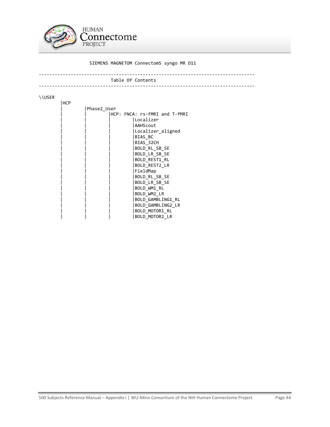

### SIEMENS MAGNETOM ConnectomS syngo MR D11

#### --------------------------------------------------------------------------------- Table Of Contents ---------------------------------------------------------------------------------

#### \\USER

| HCP |             |  |                               |
|-----|-------------|--|-------------------------------|
|     | Phase2 User |  |                               |
|     |             |  | HCP: FNCA: rs-fMRI and T-fMRI |
|     |             |  | Localizer                     |
|     |             |  | AAHScout                      |
|     |             |  | Localizer_aligned             |
|     |             |  | BIAS BC                       |
|     |             |  | BIAS 32CH                     |
|     |             |  | BOLD RL SB SE                 |
|     |             |  | BOLD LR SB SE                 |
|     |             |  | BOLD REST1 RL                 |
|     |             |  | <b>BOLD REST2 LR</b>          |
|     |             |  | FieldMap                      |
|     |             |  | BOLD RL SB SE                 |
|     |             |  | BOLD LR SB SE                 |
|     |             |  | BOLD WM1 RL                   |
|     |             |  | BOLD WM2 LR                   |
|     |             |  | BOLD GAMBLING1 RL             |
|     |             |  | BOLD GAMBLING2 LR             |
|     |             |  | BOLD_MOTOR1 RL                |
|     |             |  | BOLD MOTOR2 LR                |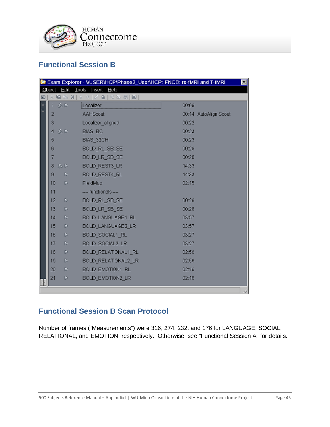

# <span id="page-44-0"></span>**Functional Session B**

|   | Exam Explorer - WUSERVHCPVPhase2_UserVHCP: FNCB: rs-fMRI and T-fMRI<br>$\mathbf{x}$ |       |                         |                       |  |
|---|-------------------------------------------------------------------------------------|-------|-------------------------|-----------------------|--|
|   | Object                                                                              | Edit  | Help<br>Tools<br>Insert |                       |  |
| 匸 |                                                                                     | 6 1 2 | 0   0   0   0           |                       |  |
| E | $\mathbf{1}$                                                                        | 忍卜    | Localizer               | 00:09                 |  |
|   | 2                                                                                   |       | AAHScout                | 00:14 AutoAlign Scout |  |
|   | 3                                                                                   |       | Localizer_aligned       | 00:22                 |  |
|   | 4                                                                                   | 忍卜    | BIAS_BC                 | 00:23                 |  |
|   | 5                                                                                   |       | BIAS_32CH               | 00:23                 |  |
|   | 6                                                                                   |       | BOLD_RL_SB_SE           | 00:28                 |  |
|   | 7                                                                                   |       | BOLD_LR_SB_SE           | 00:28                 |  |
|   | 8                                                                                   | 忍卜    | BOLD_REST3_LR           | 14:33                 |  |
|   | 9                                                                                   | Þ     | BOLD_REST4_RL           | 14:33                 |  |
|   | 10                                                                                  | Þ     | FieldMap                | 02:15                 |  |
|   | 11                                                                                  |       | ---- functionals ----   |                       |  |
|   | 12                                                                                  | Þ     | BOLD_RL_SB_SE           | 00:28                 |  |
|   | 13                                                                                  | D     | BOLD_LR_SB_SE           | 00:28                 |  |
|   | 14                                                                                  | Þ     | BOLD_LANGUAGE1_RL       | 03:57                 |  |
|   | 15                                                                                  | Þ     | BOLD_LANGUAGE2_LR       | 03:57                 |  |
|   | 16                                                                                  | Þ     | BOLD_SOCIAL1_RL         | 03:27                 |  |
|   | 17                                                                                  | Þ     | BOLD_SOCIAL2_LR         | 03:27                 |  |
|   | 18                                                                                  | Þ     | BOLD_RELATIONAL1_RL     | 02:56                 |  |
|   | 19                                                                                  | Þ     | BOLD_RELATIONAL2_LR     | 02:56                 |  |
|   | 20                                                                                  | Þ     | <b>BOLD EMOTION1 RL</b> | 02:16                 |  |
|   | 21                                                                                  | Þ     | BOLD_EMOTION2_LR        | 02:16                 |  |
|   |                                                                                     |       |                         |                       |  |
|   |                                                                                     |       |                         | h,                    |  |

# <span id="page-44-1"></span>**Functional Session B Scan Protocol**

Number of frames ("Measurements") were 316, 274, 232, and 176 for LANGUAGE, SOCIAL, RELATIONAL, and EMOTION, respectively. Otherwise, see "Functional Session A" for details.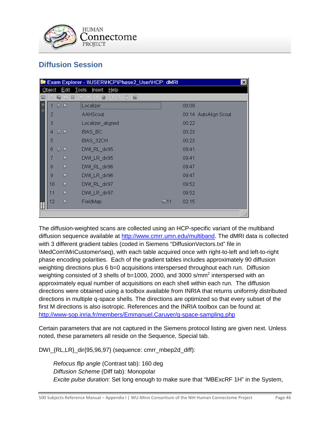

# <span id="page-45-0"></span>**Diffusion Session**

| Exam Explorer - WUSERVHCPVPhase2_UserVHCP: dMRI |                                        |                  |                            |     | $\mathbf{x}$ |                       |  |
|-------------------------------------------------|----------------------------------------|------------------|----------------------------|-----|--------------|-----------------------|--|
|                                                 | Tools<br>Edit<br>Insert Help<br>Object |                  |                            |     |              |                       |  |
| 同                                               |                                        | 暗器<br>喕          | <b>◆ 空 白 日</b><br>KG.<br>m |     |              |                       |  |
|                                                 |                                        | 1 忍 D            | Localizer                  |     | 00:09        |                       |  |
| E                                               | 2                                      |                  | AAHScout                   |     |              | 00:14 AutoAlign Scout |  |
|                                                 | 3                                      |                  | Localizer_aligned          |     | 00:22        |                       |  |
|                                                 | 4                                      | 忍卜               | BIAS_BC                    |     | 00:23        |                       |  |
|                                                 | 5                                      |                  | BIAS_32CH                  |     | 00:23        |                       |  |
|                                                 | 6                                      | 忍い               | DWI_RL_dir95               |     | 09:41        |                       |  |
|                                                 | 7                                      | Þ                | DWI_LR_dir95               |     | 09:41        |                       |  |
|                                                 | Þ<br>8<br>DWI_RL_dir96<br>09:47        |                  |                            |     |              |                       |  |
|                                                 | 9                                      | D                | DWI_LR_dir96               |     | 09:47        |                       |  |
|                                                 | 10                                     | $\triangleright$ | DWI_RL_dir97               |     | 09:52        |                       |  |
|                                                 | 11                                     | D                | DWI_LR_dir97               |     | 09:52        |                       |  |
|                                                 | 12                                     | Þ                | FieldMap                   | 面11 | 02:15        |                       |  |
|                                                 |                                        |                  |                            |     |              |                       |  |

The diffusion-weighted scans are collected using an HCP-specific variant of the multiband diffusion sequence available at [http://www.cmrr.umn.edu/multiband.](http://www.cmrr.umn.edu/multiband) The dMRI data is collected with 3 different gradient tables (coded in Siemens "DiffusionVectors.txt" file in \MedCom\MriCustomer\seq), with each table acquired once with right-to-left and left-to-right phase encoding polarities. Each of the gradient tables includes approximately 90 diffusion weighting directions plus 6 b=0 acquisitions interspersed throughout each run. Diffusion weighting consisted of 3 shells of b=1000, 2000, and 3000 s/mm<sup>2</sup> interspersed with an approximately equal number of acquisitions on each shell within each run. The diffusion directions were obtained using a toolbox available from INRIA that returns uniformly distributed directions in multiple q-space shells. The directions are optimized so that every subset of the first M directions is also isotropic. References and the INRIA toolbox can be found at: <http://www-sop.inria.fr/members/Emmanuel.Caruyer/q-space-sampling.php>

Certain parameters that are not captured in the Siemens protocol listing are given next. Unless noted, these parameters all reside on the Sequence, Special tab.

DWI\_{RL,LR}\_dir{95,96,97} (sequence: cmrr\_mbep2d\_diff):

*Refocus flip angle* (Contrast tab): 160 deg *Diffusion Scheme* (Diff tab): Monopolar *Excite pulse duration*: Set long enough to make sure that "MBExcRF 1H" in the System,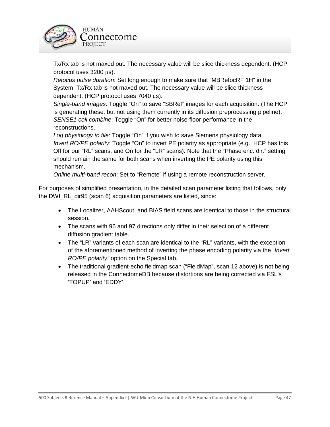

Tx/Rx tab is not maxed out. The necessary value will be slice thickness dependent. (HCP protocol uses 3200 µs).

*Refocus pulse duration*: Set long enough to make sure that "MBRefocRF 1H" in the System, Tx/Rx tab is not maxed out. The necessary value will be slice thickness dependent. (HCP protocol uses 7040 µs).

*Single-band images*: Toggle "On" to save "SBRef" images for each acquisition. (The HCP is generating these, but not using them currently in its diffusion preprocessing pipeline). *SENSE1 coil combine*: Toggle "On" for better noise-floor performance in the reconstructions.

*Log physiology to file*: Toggle "On" if you wish to save Siemens physiology data. *Invert RO/PE polarity*: Toggle "On" to invert PE polarity as appropriate (e.g., HCP has this Off for our "RL" scans, and On for the "LR" scans). Note that the "Phase enc. dir." setting should remain the same for both scans when inverting the PE polarity using this mechanism.

*Online multi-band recon*: Set to "Remote" if using a remote reconstruction server.

For purposes of simplified presentation, in the detailed scan parameter listing that follows, only the DWI\_RL\_dir95 (scan 6) acquisition parameters are listed, since:

- The Localizer, AAHScout, and BIAS field scans are identical to those in the structural session.
- The scans with 96 and 97 directions only differ in their selection of a different diffusion gradient table.
- The "LR" variants of each scan are identical to the "RL" variants, with the exception of the aforementioned method of inverting the phase encoding polarity via the "*Invert RO/PE polarity"* option on the Special tab.
- The traditional gradient-echo fieldmap scan ("FieldMap", scan 12 above) is not being released in the ConnectomeDB because distortions are being corrected via FSL's 'TOPUP' and 'EDDY'.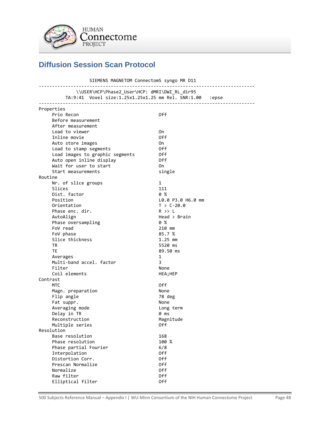

# <span id="page-47-0"></span>**Diffusion Session Scan Protocol**

 SIEMENS MAGNETOM ConnectomS syngo MR D11 --------------------------------------------------------------------------------- \\USER\HCP\Phase2\_User\HCP: dMRI\DWI\_RL\_dir95 TA:9:41 Voxel size:1.25x1.25x1.25 mm Rel. SNR:1.00 :epse --------------------------------------------------------------------------------- Properties Prio Recon and Off and Off and Off and Off and Off and Off and Off and Off and Off and Off and Off and Off and Off and Off and Off and Off and Off and Off and Off and Off and Off and Off and Off and Off and Off and Off and Before measurement After measurement Load to viewer and the only on the only of the only of the only of the only of the only of the only of the only of the only of the only of the only of the only of the only of the only of the only of the only of the only of Inline movie Auto store images On Load to stamp segments Load images to graphic segments Off Auto open inline display off Wait for user to start **CON CON CONGLUE ON CONGLUE CONGLUE CONGLUE CONGLUE CONGLUE CONGLUE CONGLUE CONGLUE CONG** Start measurements single Routine Nr. of slice groups 1<br>Slices 111 Slices Dist. factor  $\begin{array}{ccc} 0 & 8 \\ 0 & 1 \end{array}$ Position L0.0 P3.0 H6.0 mm<br>Orientation T > C-20.0  $T > C-20.0$ <br>R  $>> L$ Phase enc. dir. AutoAlign Head > Brain Phase oversampling 0 % FoV read 210 mm FoV phase 85.7 % Slice thickness 1.25 mm TR 5520 ms TE 89.50 ms Averages 1 Multi-band accel. factor 3 Filter None Coil elements HEA; HEP Contrast MTC Off Magn. preparation None Flip angle 78 deg Fat suppr. None Averaging mode by a long term Delay in TR 0 ms Reconstruction Magnitude Multiple series **Off** Resolution Base resolution 168 Phase resolution 100 % Phase partial Fourier 6/8 Interpolation Off Distortion Corr. 69 06 06 06 06 17 Prescan Normalize **Off** Normalize Off Raw filter **Calculation** Off Elliptical filter off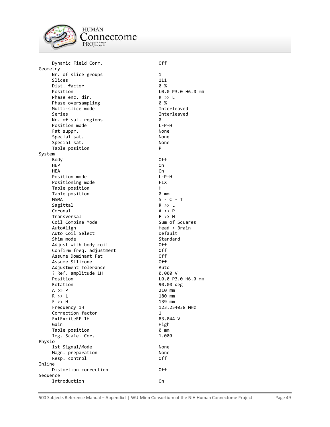

**HUMAN** 'onnectome PROJECT

Dynamic Field Corr. 0ff Geometry Nr. of slice groups 1 Slices 111<br>Dist. factor 111 0 % Dist. factor<br>Position Phase enc. dir.<br>Phase oversampling the control of % Phase oversampling  $\begin{array}{ccc} 0 & \times & 0 \\ \text{Multi-slice mode} & & & \end{array}$ Multi-slice mode Series **Interleaved**  Nr. of sat. regions 0 Position mode Fat suppr. None Special sat. None Special sat. None Table position P System Body Off HEP On One of the state of the state of the state of the state of the state of the state of the state of the state of the state of the state of the state of the state of the state of the state of the state of the state of HEA On Position mode **L-P-H** Positioning mode FIX Table position http://www.fable.org/ Table position 0 mm  $MSMA$   $S - C - T$ Sagittal R >> L<br>Coronal R +> P Coronal A >> P<br>Transversal A +> P<br>F >> H Transversal<br>Coil Combine Mode The Sum of Squares Coil Combine Mode<br>AutoAlign Auto Coil Select **Default** Shim mode Standard Standard Adjust with body coil **Example 2018** Off Confirm freq. adjustment Off Assume Dominant Fat **Off** Assume Silicone **Off** Adjustment Tolerance **Auto** Auto ? Ref. amplitude 1H 0.000 V Position L0.0 P3.0 H6.0 mm Rotation 90.00 deg A >> P 210 mm R >> L 180 mm F >> H 139 mm Frequency 1H 123.254038 MHz Correction factor ExtExciteRF 1H 83.044 V Gain High Table position 0 mm<br>
Img. Scale. Cor. 1.000 Img. Scale. Cor. Physio 1st Signal/Mode None Magn. preparation None Resp. control 0ff Inline Distortion correction **Off** Sequence

 $LO.0 P3.0 H6.0 mm$ <br>R >> L  $Head > Brain$ Introduction On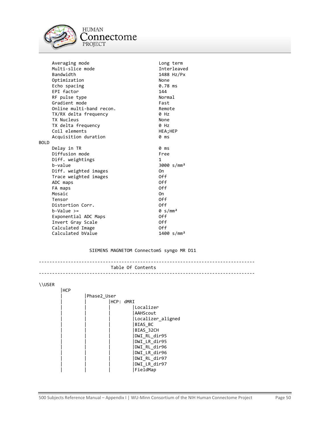

|             | Averaging mode           | Long term              |
|-------------|--------------------------|------------------------|
|             | Multi-slice mode         | Interleaved            |
|             | Bandwidth                | 1488 Hz/Px             |
|             | Optimization             | None                   |
|             | Echo spacing             | 0.78 ms                |
|             | EPI factor               | 144                    |
|             | RF pulse type            | Normal                 |
|             | Gradient mode            | Fast                   |
|             | Online multi-band recon. | Remote                 |
|             | TX/RX delta frequency    | 0 Hz                   |
|             | TX Nucleus               | None                   |
|             | TX delta frequency       | 0 Hz                   |
|             | Coil elements            | HEA;HEP                |
|             | Acquisition duration     | 0 ms                   |
| <b>BOLD</b> |                          |                        |
|             | Delay in TR              | 0 ms                   |
|             | Diffusion mode           | Free                   |
|             | Diff. weightings         | 1                      |
|             | b-value                  | 3000 s/mm <sup>2</sup> |
|             | Diff. weighted images    | 0n                     |
|             | Trace weighted images    | 0ff                    |
|             | ADC maps                 | 0ff                    |
|             | FA maps                  | 0ff                    |
|             | Mosaic                   | 0n                     |
|             | Tensor                   | 0ff                    |
|             | Distortion Corr.         | 0ff                    |
|             | $b-V$ alue >=            | $0 \, \text{s/mm}^2$   |
|             | Exponential ADC Maps     | 0ff                    |
|             | Invert Gray Scale        | 0ff                    |
|             | Calculated Image         | 0ff                    |
|             | Calculated bValue        | 1400 s/mm <sup>2</sup> |

SIEMENS MAGNETOM ConnectomS syngo MR D11

```
---------------------------------------------------------------------------------
                           Table Of Contents
---------------------------------------------------------------------------------
```
### \\USER

| <b>HCP</b> |                   |
|------------|-------------------|
|            | Phase2 User       |
|            | IHCP: dMRI        |
|            | Localizer         |
|            | AAHScout          |
|            | Localizer aligned |
|            | BIAS BC           |
|            | BIAS 32CH         |
|            | DWI RL dir95      |
|            | DWI LR dir95      |
|            | DWI RL dir96      |
|            | DWI LR dir96      |
|            | DWI RL dir97      |
|            | DWI LR dir97      |
|            | FieldMap          |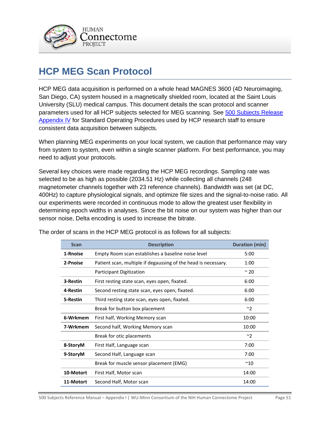

# <span id="page-50-0"></span>**HCP MEG Scan Protocol**

HCP MEG data acquisition is performed on a whole head MAGNES 3600 (4D Neuroimaging, San Diego, CA) system housed in a magnetically shielded room, located at the Saint Louis University (SLU) medical campus. This document details the scan protocol and scanner parameters used for all HCP subjects selected for MEG scanning. See 500 Subjects Release Appendix IV for Standard Operating Procedures used by HCP research staff to ensure consistent data acquisition between subjects.

When planning MEG experiments on your local system, we caution that performance may vary from system to system, even within a single scanner platform. For best performance, you may need to adjust your protocols.

Several key choices were made regarding the HCP MEG recordings. Sampling rate was selected to be as high as possible (2034.51 Hz) while collecting all channels (248 magnetometer channels together with 23 reference channels). Bandwidth was set (at DC, 400Hz) to capture physiological signals, and optimize file sizes and the signal-to-noise ratio. All our experiments were recorded in continuous mode to allow the greatest user flexibility in determining epoch widths in analyses. Since the bit noise on our system was higher than our sensor noise, Delta encoding is used to increase the bitrate.

| <b>Scan</b> | <b>Description</b>                                             | Duration (min) |
|-------------|----------------------------------------------------------------|----------------|
| 1-Rnoise    | Empty Room scan establishes a baseline noise level             | 5:00           |
| 2-Pnoise    | Patient scan, multiple if degaussing of the head is necessary. |                |
|             | <b>Participant Digitization</b>                                | $\sim$ 20      |
| 3-Restin    | First resting state scan, eyes open, fixated.                  | 6:00           |
| 4-Restin    | Second resting state scan, eyes open, fixated.                 | 6:00           |
| 5-Restin    | Third resting state scan, eyes open, fixated.                  | 6:00           |
|             | Break for button box placement                                 | ~2             |
| 6-Wrkmem    | First half, Working Memory scan                                | 10:00          |
| 7-Wrkmem    | Second half, Working Memory scan                               | 10:00          |
|             | Break for otic placements                                      | ~1             |
| 8-StoryM    | First Half, Language scan                                      | 7:00           |
| 9-StoryM    | Second Half, Language scan                                     | 7:00           |
|             | Break for muscle sensor placement (EMG)                        | $^{\sim}10$    |
| 10-Motort   | First Half, Motor scan                                         | 14:00          |
| 11-Motort   | Second Half, Motor scan                                        | 14:00          |

The order of scans in the HCP MEG protocol is as follows for all subjects: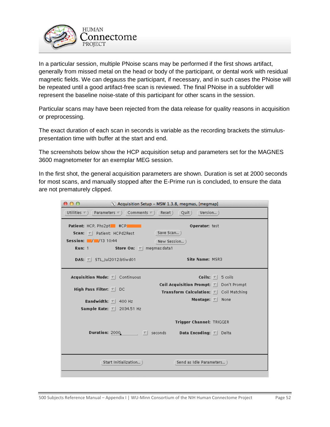

In a particular session, multiple PNoise scans may be performed if the first shows artifact, generally from missed metal on the head or body of the participant, or dental work with residual magnetic fields. We can degauss the participant, if necessary, and in such cases the PNoise will be repeated until a good artifact-free scan is reviewed. The final PNoise in a subfolder will represent the baseline noise-state of this participant for other scans in the session.

Particular scans may have been rejected from the data release for quality reasons in acquisition or preprocessing.

The exact duration of each scan in seconds is variable as the recording brackets the stimuluspresentation time with buffer at the start and end.

The screenshots below show the HCP acquisition setup and parameters set for the MAGNES 3600 magnetometer for an exemplar MEG session.

In the first shot, the general acquisition parameters are shown. Duration is set at 2000 seconds for most scans, and manually stopped after the E-Prime run is concluded, to ensure the data are not prematurely clipped.

| 000                                                                                                                                                   | $\chi$ Acquisition Setup - MSW 1.3.8, megmas, [megmap]                                                                                                                                               |
|-------------------------------------------------------------------------------------------------------------------------------------------------------|------------------------------------------------------------------------------------------------------------------------------------------------------------------------------------------------------|
| Utilities $\tau$ )<br>Parameters $\nabla$ ) Comments $\nabla$ ) (Reset)                                                                               | Version)<br>$\left($ Quit $\right)$                                                                                                                                                                  |
| Patient: HCP, Phs2pt #CP<br><b>Scan:</b> $\nabla$ Patient: HCPd2Rest<br>Session: $\sqrt{2/13}$ 10:44<br>Store On: $\nabla$<br><b>Run: 1</b>           | Operator: test<br>Save Scan )<br>New Session<br>megmas:data1                                                                                                                                         |
| DAS: $\nabla$ STL_Jul2012:btiwd01                                                                                                                     | Site Name: MSR3                                                                                                                                                                                      |
| Acquisition Mode: $\nabla$ Continuous<br>High Pass Filter: $\nabla$<br>DC<br>Bandwidth: $\nabla$<br>400 Hz<br><b>Sample Rate:</b> $\nabla$ 2034.51 Hz | Coils: $\nabla$<br>5 coils<br><b>Coil Acquisition Prompt:</b> $\nabla$ Don't Prompt<br><b>Transform Calculation:</b> $\nabla$ Coil Matching<br>Montage: $\nabla$<br>None<br>Trigger Channel: TRIGGER |
| <b>Duration:</b> 2000, $\nabla$ seconds                                                                                                               | <b>Data Encoding:</b> $\nabla$ <b>Delta</b>                                                                                                                                                          |
| Start Initialization)                                                                                                                                 | Send as Idle Parameters                                                                                                                                                                              |
|                                                                                                                                                       |                                                                                                                                                                                                      |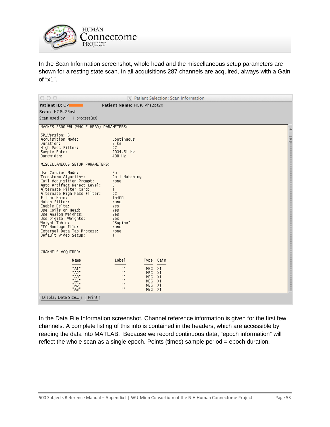

In the Scan Information screenshot, whole head and the miscellaneous setup parameters are shown for a resting state scan. In all acquisitions 287 channels are acquired, always with a Gain of "x1".

| 000                                                                                                                                                                                                                                                                                                                                                                              | X Patient Selection: Scan Information                                                                                                                                                              |               |
|----------------------------------------------------------------------------------------------------------------------------------------------------------------------------------------------------------------------------------------------------------------------------------------------------------------------------------------------------------------------------------|----------------------------------------------------------------------------------------------------------------------------------------------------------------------------------------------------|---------------|
| <b>Patient ID: CP</b>                                                                                                                                                                                                                                                                                                                                                            | Patient Name: HCP, Phs2pt20                                                                                                                                                                        |               |
| Scan: HCPd2Rest                                                                                                                                                                                                                                                                                                                                                                  |                                                                                                                                                                                                    |               |
| 1 process(es)<br>Scan used by                                                                                                                                                                                                                                                                                                                                                    |                                                                                                                                                                                                    |               |
| MAGNES 3600 WH (WHOLE HEAD) PARAMETERS:                                                                                                                                                                                                                                                                                                                                          |                                                                                                                                                                                                    |               |
| SP_Version: 6<br>Acquisition Mode:<br>Duration:<br>High Pass Filter:<br>Sample Rate:<br>Bandwidth:                                                                                                                                                                                                                                                                               | Continuous<br>$2$ ks<br>DC.<br>2034.51 Hz<br>400 Hz                                                                                                                                                | $\frac{1}{1}$ |
| MISCELLANEOUS SETUP PARAMETERS:                                                                                                                                                                                                                                                                                                                                                  |                                                                                                                                                                                                    |               |
| Use Cardiac Mode:<br>Transform Algorithm:<br>Coil Acquisition Prompt:<br>Auto Artifact Reject Level:<br>Alternate Filter Card:<br>Alternate High Pass Filter:<br>Filter Name:<br>Notch Filter:<br>Enable Delta:<br>Use Coils on Head:<br>Use Analog Weights:<br>Use Digital Weights:<br>Weight Table:<br>EEG Montage File:<br>External Data Tap Process:<br>Default Video Setup: | No<br>Coil Matching<br>None<br>$\overline{0}$<br>$\mathbf{1}$<br>DC<br>1p400<br>None<br>Yes.<br>Yes.<br>Yes.<br>Yes.<br>"Supine"<br>None<br>None<br>1                                              |               |
| CHANNELS ACQUIRED:                                                                                                                                                                                                                                                                                                                                                               |                                                                                                                                                                                                    |               |
| Name<br>"A1"<br>"A2"<br>"A3"<br>"A4"<br>"A5"<br>"A6"                                                                                                                                                                                                                                                                                                                             | Label<br>Type Gain<br>$\mathbf{u}$<br>MEG<br>X1<br>$\mathbf{u}$<br>MEG.<br>- X1<br>$\mathbf{u}$<br>MEG<br>X1<br>$\mathbf{u}$<br>MEG<br>- X1<br>$\mathbf{u}$<br>X1<br>MEG<br>$\mathbf{H}$<br>MEG X1 |               |
| Display Data Size<br>Print)                                                                                                                                                                                                                                                                                                                                                      |                                                                                                                                                                                                    |               |

In the Data File Information screenshot, Channel reference information is given for the first few channels. A complete listing of this info is contained in the headers, which are accessible by reading the data into MATLAB. Because we record continuous data, "epoch information" will reflect the whole scan as a single epoch. Points (times) sample period = epoch duration.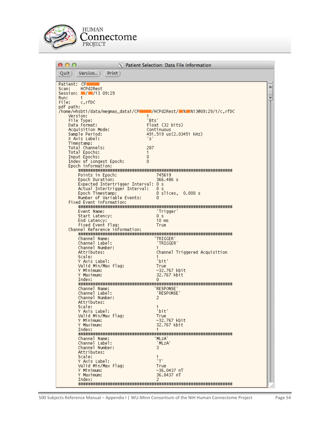

| 000                                                | X Patient Selection: Data File Information |
|----------------------------------------------------|--------------------------------------------|
| Print)<br>Quit )<br>Version)                       |                                            |
| Patient: CP                                        |                                            |
| HCPd2Rest<br>Scan:<br>Session: ////13 09:29        |                                            |
| Run:<br>$\mathbf{1}$                               |                                            |
| File:<br>c, rfDC<br>pdf path:                      |                                            |
| /home/whsbti/data/megmas_data1/CPII                | MCPd2Rest/ % % % 13@09:29/1/c.rfDC         |
| Version:<br>1<br>File Type:<br>"Bts"               |                                            |
| Data Format:                                       | Float (32 bits)                            |
| Acquisition Mode:                                  | Continuous                                 |
| Sample Period:<br>' ج'<br>X Axis Label:            | 491.519 us(2.03451 kHz)                    |
| Timestamp:                                         |                                            |
| Total Channels:<br>287<br>Total Epochs:<br>1       |                                            |
| Input Epochs:<br>0                                 |                                            |
| Index of Longest Epoch:<br>0<br>Epoch information: |                                            |
|                                                    |                                            |
| Points in Epoch:<br>Epoch Duration:                | 745619<br>366.486 s                        |
| Expected Intertrigger Interval: 0 s                |                                            |
| Actual Intertrigger Interval:<br>Epoch Timestamp:  | 0 s<br>0 slices.<br>$0.000$ s              |
| Number of Variable Events:                         | n                                          |
| Fixed Event information:                           |                                            |
| Event Name:                                        | 'Trigger'                                  |
| Start Latency:<br>End Latency:                     | 0 s<br>$10$ ms                             |
| Fixed Event Flag:                                  | True                                       |
| Channel Reference information:                     |                                            |
| Channel Name:                                      | 'TRIGGER'                                  |
| Channel Label:<br>Channel Number:                  | 'TRIGGER'<br>1.                            |
| Attributes:                                        | Channel Triggered Acquisition              |
| Scale:<br>Y Axis Label:                            | 'bit'                                      |
| Valid Min/Max Flag:                                | True                                       |
| Y Minimum:<br>Y Maximum:                           | -32.767 kbit<br>32.767 kbit                |
| Index:                                             | 0.                                         |
| Channel Name:                                      | <b>RESPONSE</b>                            |
| Channel Label:                                     | 'RESPONSE'                                 |
| Channel Number:                                    | 2                                          |
| Attributes:<br>Scale:                              |                                            |
| Y Axis Label:                                      | 'bit'                                      |
| Valid Min/Max Flag:<br>Y Minimum:                  | True<br>-32.767 kbit                       |
| Y Maximum:                                         | 32.767 kbit                                |
| Index:                                             |                                            |
| Channel Name:                                      | ' MLzA'                                    |
| Channel Label:<br>Channel Number:                  | 'MLzA'<br>3.                               |
| Attributes:                                        |                                            |
| Scale:<br>Y Axis Label:                            | 'т'                                        |
| Valid Min/Max Flag:                                | True                                       |
| Y Minimum:<br>Y Maximum:                           | $-36.0437$ nT<br>36.0437 nT                |
| Index:                                             | 2                                          |
|                                                    |                                            |